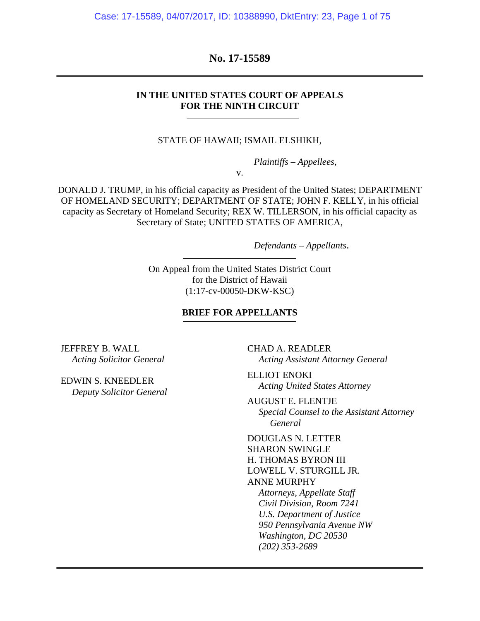Case: 17-15589, 04/07/2017, ID: 10388990, DktEntry: 23, Page 1 of 75

### **No. 17-15589**

### **IN THE UNITED STATES COURT OF APPEALS FOR THE NINTH CIRCUIT**

#### STATE OF HAWAII; ISMAIL ELSHIKH,

*Plaintiffs – Appellees*,

v.

DONALD J. TRUMP, in his official capacity as President of the United States; DEPARTMENT OF HOMELAND SECURITY; DEPARTMENT OF STATE; JOHN F. KELLY, in his official capacity as Secretary of Homeland Security; REX W. TILLERSON, in his official capacity as Secretary of State; UNITED STATES OF AMERICA,

*Defendants – Appellants*.

On Appeal from the United States District Court for the District of Hawaii (1:17-cv-00050-DKW-KSC)

#### **BRIEF FOR APPELLANTS**

JEFFREY B. WALL *Acting Solicitor General* 

EDWIN S. KNEEDLER *Deputy Solicitor General*  CHAD A. READLER *Acting Assistant Attorney General* 

ELLIOT ENOKI *Acting United States Attorney* 

AUGUST E. FLENTJE *Special Counsel to the Assistant Attorney General* 

DOUGLAS N. LETTER SHARON SWINGLE H. THOMAS BYRON III LOWELL V. STURGILL JR. ANNE MURPHY *Attorneys, Appellate Staff Civil Division, Room 7241 U.S. Department of Justice 950 Pennsylvania Avenue NW Washington, DC 20530 (202) 353-2689*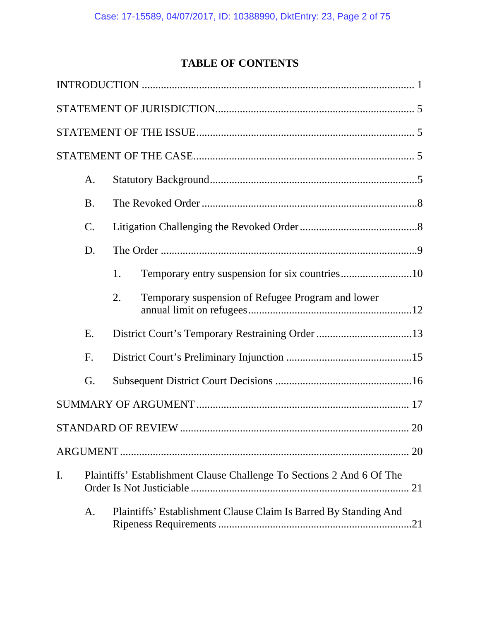# **TABLE OF CONTENTS**

|    | A.              |                                                                       |  |  |
|----|-----------------|-----------------------------------------------------------------------|--|--|
|    | <b>B.</b>       |                                                                       |  |  |
|    | $\mathcal{C}$ . |                                                                       |  |  |
|    | D.              |                                                                       |  |  |
|    |                 | 1.                                                                    |  |  |
|    |                 | Temporary suspension of Refugee Program and lower<br>2.               |  |  |
|    | E.              |                                                                       |  |  |
|    | F.              |                                                                       |  |  |
|    | G.              |                                                                       |  |  |
|    |                 |                                                                       |  |  |
|    |                 | STANDARD OF REVIEW.<br>20                                             |  |  |
|    |                 |                                                                       |  |  |
| I. |                 | Plaintiffs' Establishment Clause Challenge To Sections 2 And 6 Of The |  |  |
|    | A.              | Plaintiffs' Establishment Clause Claim Is Barred By Standing And      |  |  |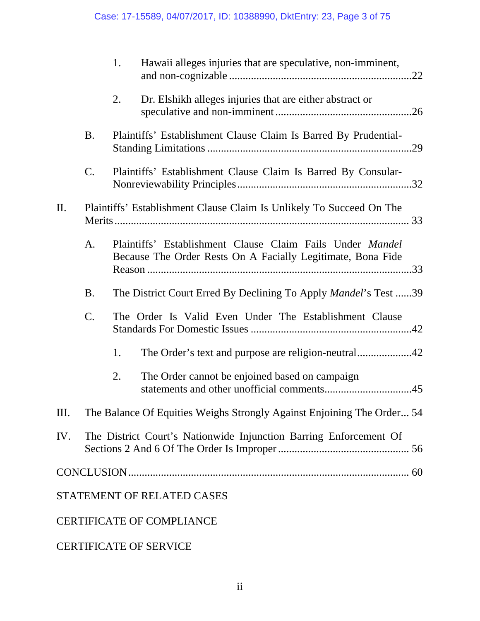|           |                 | 1. | Hawaii alleges injuries that are speculative, non-imminent,                                                              |  |
|-----------|-----------------|----|--------------------------------------------------------------------------------------------------------------------------|--|
|           |                 | 2. | Dr. Elshikh alleges injuries that are either abstract or                                                                 |  |
|           | B <sub>1</sub>  |    | Plaintiffs' Establishment Clause Claim Is Barred By Prudential-                                                          |  |
|           | $\mathcal{C}$ . |    | Plaintiffs' Establishment Clause Claim Is Barred By Consular-                                                            |  |
| $\prod$ . |                 |    | Plaintiffs' Establishment Clause Claim Is Unlikely To Succeed On The                                                     |  |
|           | A.              |    | Plaintiffs' Establishment Clause Claim Fails Under Mandel<br>Because The Order Rests On A Facially Legitimate, Bona Fide |  |
|           | <b>B.</b>       |    | The District Court Erred By Declining To Apply <i>Mandel</i> 's Test 39                                                  |  |
|           | C.              |    | The Order Is Valid Even Under The Establishment Clause                                                                   |  |
|           |                 | 1. |                                                                                                                          |  |
|           |                 | 2. | The Order cannot be enjoined based on campaign                                                                           |  |
| Ш.        |                 |    | The Balance Of Equities Weighs Strongly Against Enjoining The Order 54                                                   |  |
| IV.       |                 |    | The District Court's Nationwide Injunction Barring Enforcement Of                                                        |  |
|           |                 |    |                                                                                                                          |  |
|           |                 |    | STATEMENT OF RELATED CASES                                                                                               |  |
|           |                 |    | <b>CERTIFICATE OF COMPLIANCE</b>                                                                                         |  |

CERTIFICATE OF SERVICE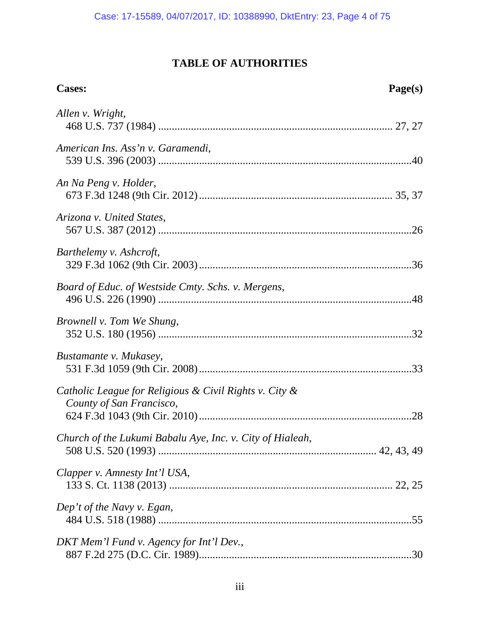# **TABLE OF AUTHORITIES**

| <b>Cases:</b>                                                                      | Page(s) |
|------------------------------------------------------------------------------------|---------|
| Allen v. Wright,                                                                   |         |
| American Ins. Ass'n v. Garamendi,                                                  |         |
| An Na Peng v. Holder,                                                              |         |
| Arizona v. United States,                                                          |         |
| Barthelemy v. Ashcroft,                                                            |         |
| Board of Educ. of Westside Cmty. Schs. v. Mergens,                                 |         |
| Brownell v. Tom We Shung,                                                          |         |
| Bustamante v. Mukasey,                                                             |         |
| Catholic League for Religious & Civil Rights v. City &<br>County of San Francisco, |         |
| Church of the Lukumi Babalu Aye, Inc. v. City of Hialeah,                          |         |
| Clapper v. Amnesty Int'l USA,                                                      |         |
| Dep't of the Navy v. Egan,                                                         |         |
| DKT Mem'l Fund v. Agency for Int'l Dev.,                                           |         |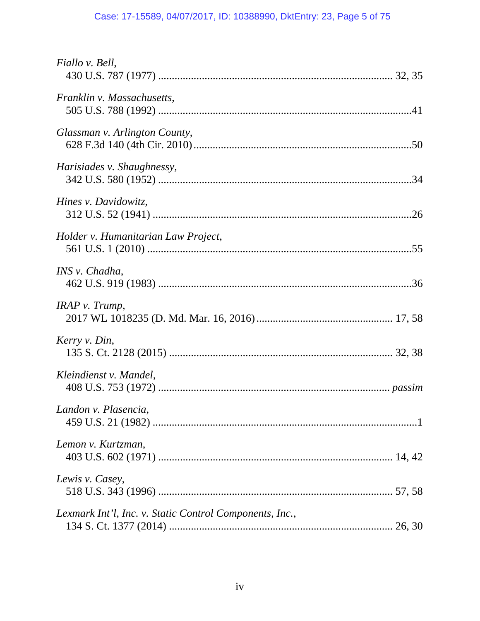# Case: 17-15589, 04/07/2017, ID: 10388990, DktEntry: 23, Page 5 of 75

| Fiallo v. Bell,                                         |  |
|---------------------------------------------------------|--|
| Franklin v. Massachusetts,                              |  |
| Glassman v. Arlington County,                           |  |
| Harisiades v. Shaughnessy,                              |  |
| Hines v. Davidowitz,                                    |  |
| Holder v. Humanitarian Law Project,                     |  |
| INS v. Chadha,                                          |  |
| $IRAP$ v. Trump,                                        |  |
| Kerry v. Din,                                           |  |
| Kleindienst v. Mandel,                                  |  |
| Landon v. Plasencia,                                    |  |
| Lemon v. Kurtzman,                                      |  |
| Lewis v. Casey,                                         |  |
| Lexmark Int'l, Inc. v. Static Control Components, Inc., |  |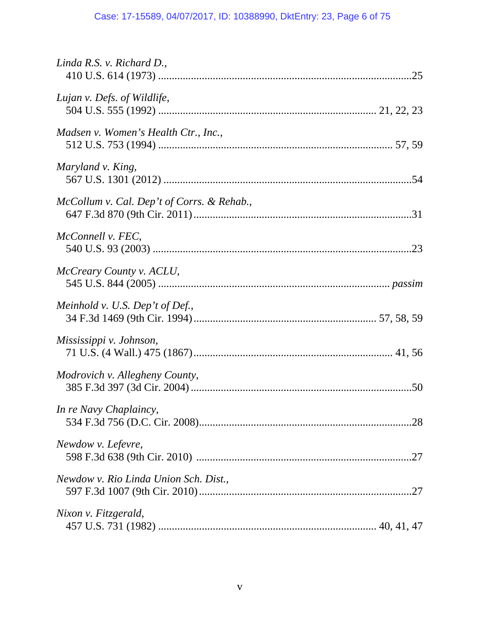# Case: 17-15589, 04/07/2017, ID: 10388990, DktEntry: 23, Page 6 of 75

| Linda R.S. v. Richard D.,                  |
|--------------------------------------------|
| Lujan v. Defs. of Wildlife,                |
| Madsen v. Women's Health Ctr., Inc.,       |
| Maryland v. King,                          |
| McCollum v. Cal. Dep't of Corrs. & Rehab., |
| McConnell v. FEC,                          |
| McCreary County v. ACLU,                   |
| Meinhold v. U.S. Dep't of Def.,            |
| Mississippi v. Johnson,                    |
| Modrovich v. Allegheny County,             |
| In re Navy Chaplaincy,                     |
| Newdow v. Lefevre,                         |
| Newdow v. Rio Linda Union Sch. Dist.,      |
| Nixon v. Fitzgerald,                       |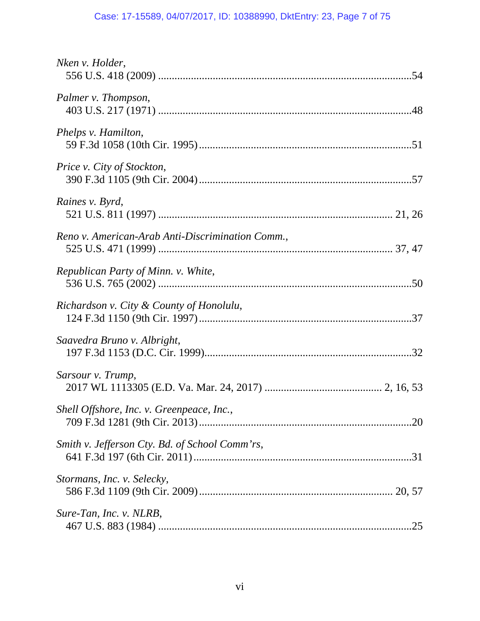# Case: 17-15589, 04/07/2017, ID: 10388990, DktEntry: 23, Page 7 of 75

| Nken v. Holder,                                  |
|--------------------------------------------------|
| Palmer v. Thompson,                              |
| Phelps v. Hamilton,                              |
| Price v. City of Stockton,                       |
| Raines v. Byrd,                                  |
| Reno v. American-Arab Anti-Discrimination Comm., |
| Republican Party of Minn. v. White,              |
| Richardson v. City & County of Honolulu,         |
| Saavedra Bruno v. Albright,                      |
| Sarsour v. Trump,                                |
| Shell Offshore, Inc. v. Greenpeace, Inc.,        |
| Smith v. Jefferson Cty. Bd. of School Comm'rs,   |
| Stormans, Inc. v. Selecky,                       |
| Sure-Tan, Inc. v. NLRB,                          |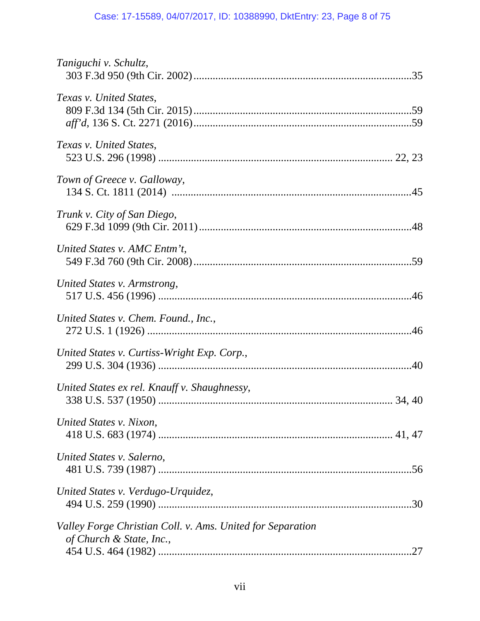# Case: 17-15589, 04/07/2017, ID: 10388990, DktEntry: 23, Page 8 of 75

| Taniguchi v. Schultz,                                                                         |
|-----------------------------------------------------------------------------------------------|
| Texas v. United States,                                                                       |
| Texas v. United States,                                                                       |
| Town of Greece v. Galloway,                                                                   |
| Trunk v. City of San Diego,                                                                   |
| United States v. AMC Entm't,                                                                  |
| United States v. Armstrong,                                                                   |
| United States v. Chem. Found., Inc.,                                                          |
| United States v. Curtiss-Wright Exp. Corp.,                                                   |
| United States ex rel. Knauff v. Shaughnessy,                                                  |
| United States v. Nixon,                                                                       |
| United States v. Salerno,                                                                     |
| United States v. Verdugo-Urquidez,<br>.30                                                     |
| Valley Forge Christian Coll. v. Ams. United for Separation<br>of Church & State, Inc.,<br>.27 |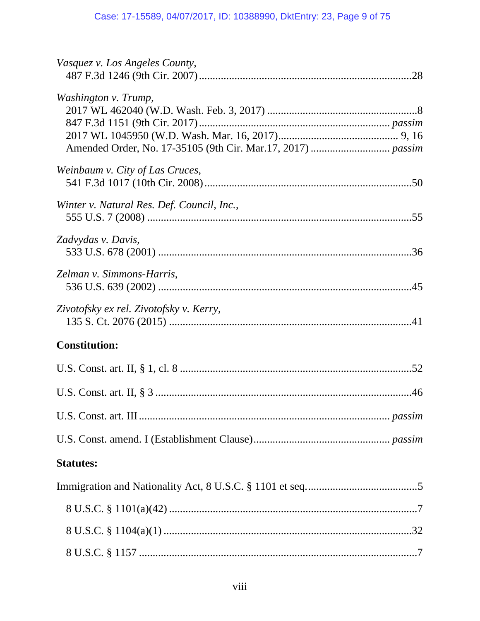| Vasquez v. Los Angeles County,             |  |
|--------------------------------------------|--|
| Washington v. Trump,                       |  |
| Weinbaum v. City of Las Cruces,            |  |
| Winter v. Natural Res. Def. Council, Inc., |  |
| Zadvydas v. Davis,                         |  |
| Zelman v. Simmons-Harris,                  |  |
| Zivotofsky ex rel. Zivotofsky v. Kerry,    |  |
| <b>Constitution:</b>                       |  |
|                                            |  |
|                                            |  |
|                                            |  |
|                                            |  |
| <b>Statutes:</b>                           |  |
|                                            |  |
|                                            |  |
|                                            |  |
|                                            |  |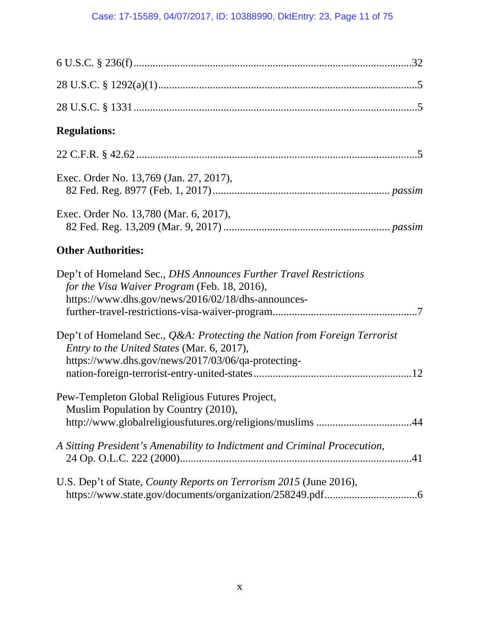| <b>Regulations:</b>                                                                                                                                                           |
|-------------------------------------------------------------------------------------------------------------------------------------------------------------------------------|
|                                                                                                                                                                               |
| Exec. Order No. 13,769 (Jan. 27, 2017),                                                                                                                                       |
| Exec. Order No. 13,780 (Mar. 6, 2017),                                                                                                                                        |
| <b>Other Authorities:</b>                                                                                                                                                     |
| Dep't of Homeland Sec., DHS Announces Further Travel Restrictions<br>for the Visa Waiver Program (Feb. 18, 2016),<br>https://www.dhs.gov/news/2016/02/18/dhs-announces-       |
| Dep't of Homeland Sec., Q&A: Protecting the Nation from Foreign Terrorist<br>Entry to the United States (Mar. 6, 2017),<br>https://www.dhs.gov/news/2017/03/06/qa-protecting- |
| Pew-Templeton Global Religious Futures Project,<br>Muslim Population by Country (2010),<br>http://www.globalreligiousfutures.org/religions/muslims44                          |
| A Sitting President's Amenability to Indictment and Criminal Procecution,                                                                                                     |
| U.S. Dep't of State, <i>County Reports on Terrorism 2015</i> (June 2016),                                                                                                     |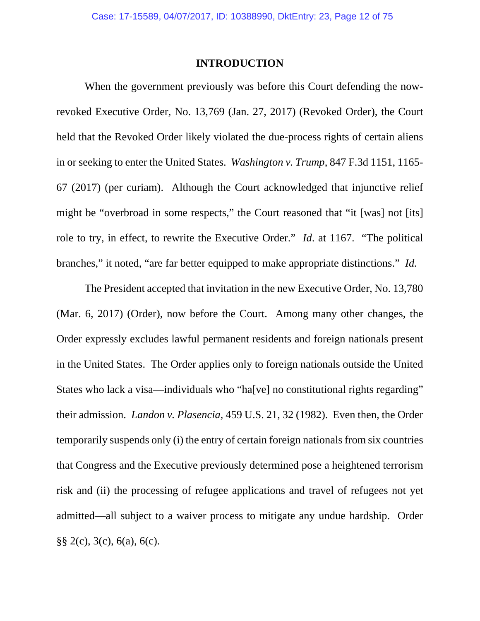### **INTRODUCTION**

When the government previously was before this Court defending the nowrevoked Executive Order, No. 13,769 (Jan. 27, 2017) (Revoked Order), the Court held that the Revoked Order likely violated the due-process rights of certain aliens in or seeking to enter the United States. *Washington v. Trump*, 847 F.3d 1151, 1165- 67 (2017) (per curiam). Although the Court acknowledged that injunctive relief might be "overbroad in some respects," the Court reasoned that "it [was] not [its] role to try, in effect, to rewrite the Executive Order." *Id*. at 1167. "The political branches," it noted, "are far better equipped to make appropriate distinctions." *Id.*

The President accepted that invitation in the new Executive Order, No. 13,780 (Mar. 6, 2017) (Order), now before the Court. Among many other changes, the Order expressly excludes lawful permanent residents and foreign nationals present in the United States. The Order applies only to foreign nationals outside the United States who lack a visa—individuals who "ha[ve] no constitutional rights regarding" their admission. *Landon v. Plasencia*, 459 U.S. 21, 32 (1982). Even then, the Order temporarily suspends only (i) the entry of certain foreign nationals from six countries that Congress and the Executive previously determined pose a heightened terrorism risk and (ii) the processing of refugee applications and travel of refugees not yet admitted—all subject to a waiver process to mitigate any undue hardship. Order §§ 2(c), 3(c), 6(a), 6(c).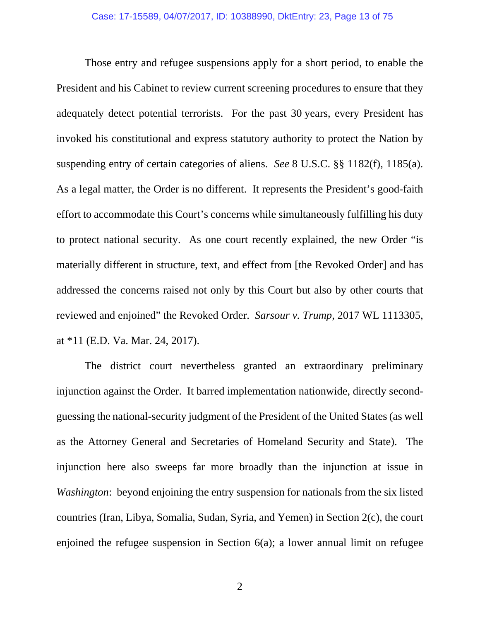Those entry and refugee suspensions apply for a short period, to enable the President and his Cabinet to review current screening procedures to ensure that they adequately detect potential terrorists. For the past 30 years, every President has invoked his constitutional and express statutory authority to protect the Nation by suspending entry of certain categories of aliens. *See* 8 U.S.C. §§ 1182(f), 1185(a). As a legal matter, the Order is no different. It represents the President's good-faith effort to accommodate this Court's concerns while simultaneously fulfilling his duty to protect national security. As one court recently explained, the new Order "is materially different in structure, text, and effect from [the Revoked Order] and has addressed the concerns raised not only by this Court but also by other courts that reviewed and enjoined" the Revoked Order. *Sarsour v. Trump*, 2017 WL 1113305, at \*11 (E.D. Va. Mar. 24, 2017).

The district court nevertheless granted an extraordinary preliminary injunction against the Order. It barred implementation nationwide, directly secondguessing the national-security judgment of the President of the United States (as well as the Attorney General and Secretaries of Homeland Security and State). The injunction here also sweeps far more broadly than the injunction at issue in *Washington*: beyond enjoining the entry suspension for nationals from the six listed countries (Iran, Libya, Somalia, Sudan, Syria, and Yemen) in Section 2(c), the court enjoined the refugee suspension in Section 6(a); a lower annual limit on refugee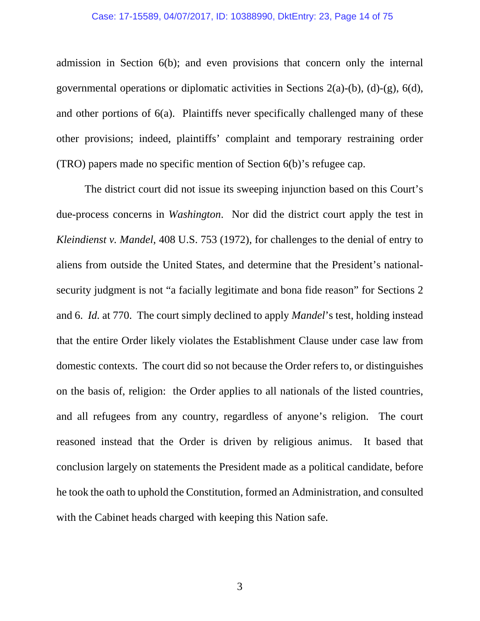#### Case: 17-15589, 04/07/2017, ID: 10388990, DktEntry: 23, Page 14 of 75

admission in Section 6(b); and even provisions that concern only the internal governmental operations or diplomatic activities in Sections 2(a)-(b), (d)-(g), 6(d), and other portions of 6(a). Plaintiffs never specifically challenged many of these other provisions; indeed, plaintiffs' complaint and temporary restraining order (TRO) papers made no specific mention of Section 6(b)'s refugee cap.

The district court did not issue its sweeping injunction based on this Court's due-process concerns in *Washington*. Nor did the district court apply the test in *Kleindienst v. Mandel*, 408 U.S. 753 (1972), for challenges to the denial of entry to aliens from outside the United States, and determine that the President's nationalsecurity judgment is not "a facially legitimate and bona fide reason" for Sections 2 and 6. *Id.* at 770. The court simply declined to apply *Mandel*'s test, holding instead that the entire Order likely violates the Establishment Clause under case law from domestic contexts. The court did so not because the Order refers to, or distinguishes on the basis of, religion: the Order applies to all nationals of the listed countries, and all refugees from any country, regardless of anyone's religion. The court reasoned instead that the Order is driven by religious animus. It based that conclusion largely on statements the President made as a political candidate, before he took the oath to uphold the Constitution, formed an Administration, and consulted with the Cabinet heads charged with keeping this Nation safe.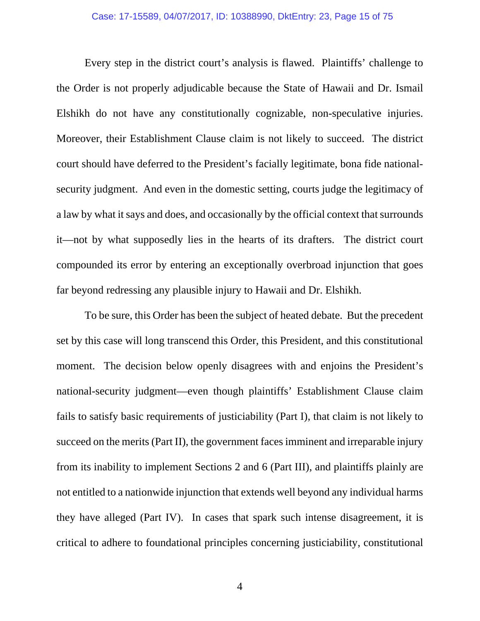Every step in the district court's analysis is flawed. Plaintiffs' challenge to the Order is not properly adjudicable because the State of Hawaii and Dr. Ismail Elshikh do not have any constitutionally cognizable, non-speculative injuries. Moreover, their Establishment Clause claim is not likely to succeed. The district court should have deferred to the President's facially legitimate, bona fide nationalsecurity judgment. And even in the domestic setting, courts judge the legitimacy of a law by what it says and does, and occasionally by the official context that surrounds it—not by what supposedly lies in the hearts of its drafters. The district court compounded its error by entering an exceptionally overbroad injunction that goes far beyond redressing any plausible injury to Hawaii and Dr. Elshikh.

To be sure, this Order has been the subject of heated debate. But the precedent set by this case will long transcend this Order, this President, and this constitutional moment. The decision below openly disagrees with and enjoins the President's national-security judgment—even though plaintiffs' Establishment Clause claim fails to satisfy basic requirements of justiciability (Part I), that claim is not likely to succeed on the merits (Part II), the government faces imminent and irreparable injury from its inability to implement Sections 2 and 6 (Part III), and plaintiffs plainly are not entitled to a nationwide injunction that extends well beyond any individual harms they have alleged (Part IV). In cases that spark such intense disagreement, it is critical to adhere to foundational principles concerning justiciability, constitutional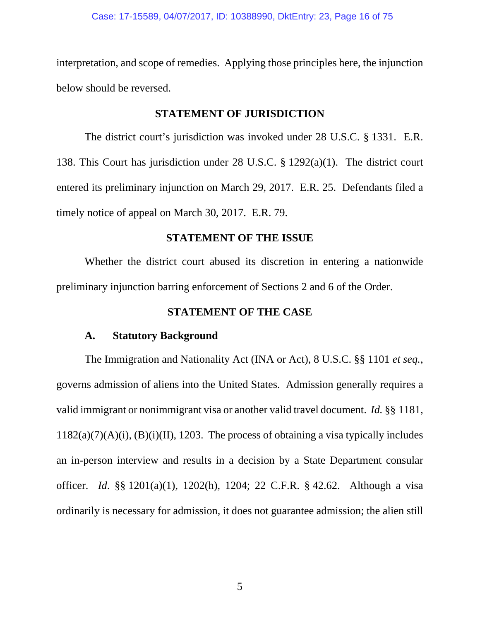interpretation, and scope of remedies. Applying those principles here, the injunction below should be reversed.

## **STATEMENT OF JURISDICTION**

The district court's jurisdiction was invoked under 28 U.S.C. § 1331. E.R. 138. This Court has jurisdiction under 28 U.S.C. § 1292(a)(1). The district court entered its preliminary injunction on March 29, 2017. E.R. 25. Defendants filed a timely notice of appeal on March 30, 2017. E.R. 79.

## **STATEMENT OF THE ISSUE**

Whether the district court abused its discretion in entering a nationwide preliminary injunction barring enforcement of Sections 2 and 6 of the Order.

# **STATEMENT OF THE CASE**

## **A. Statutory Background**

The Immigration and Nationality Act (INA or Act), 8 U.S.C. §§ 1101 *et seq.*, governs admission of aliens into the United States. Admission generally requires a valid immigrant or nonimmigrant visa or another valid travel document. *Id.* §§ 1181,  $1182(a)(7)(A)(i)$ ,  $(B)(i)(II)$ , 1203. The process of obtaining a visa typically includes an in-person interview and results in a decision by a State Department consular officer. *Id*. §§ 1201(a)(1), 1202(h), 1204; 22 C.F.R. § 42.62. Although a visa ordinarily is necessary for admission, it does not guarantee admission; the alien still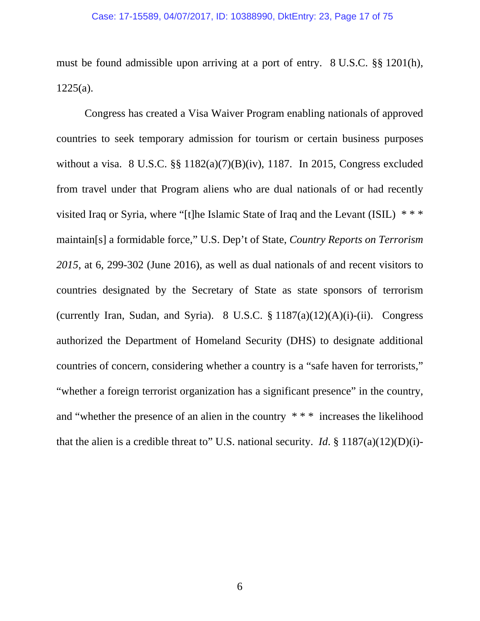must be found admissible upon arriving at a port of entry. 8 U.S.C. §§ 1201(h),  $1225(a)$ .

Congress has created a Visa Waiver Program enabling nationals of approved countries to seek temporary admission for tourism or certain business purposes without a visa. 8 U.S.C. §§ 1182(a)(7)(B)(iv), 1187. In 2015, Congress excluded from travel under that Program aliens who are dual nationals of or had recently visited Iraq or Syria, where "[t]he Islamic State of Iraq and the Levant (ISIL) \* \* \* maintain[s] a formidable force," U.S. Dep't of State, *Country Reports on Terrorism 2015*, at 6, 299-302 (June 2016), as well as dual nationals of and recent visitors to countries designated by the Secretary of State as state sponsors of terrorism (currently Iran, Sudan, and Syria). 8 U.S.C.  $\S$  1187(a)(12)(A)(i)-(ii). Congress authorized the Department of Homeland Security (DHS) to designate additional countries of concern, considering whether a country is a "safe haven for terrorists," "whether a foreign terrorist organization has a significant presence" in the country, and "whether the presence of an alien in the country \* \* \* increases the likelihood that the alien is a credible threat to" U.S. national security. *Id.*  $\frac{8}{3}$  1187(a)(12)(D)(i)-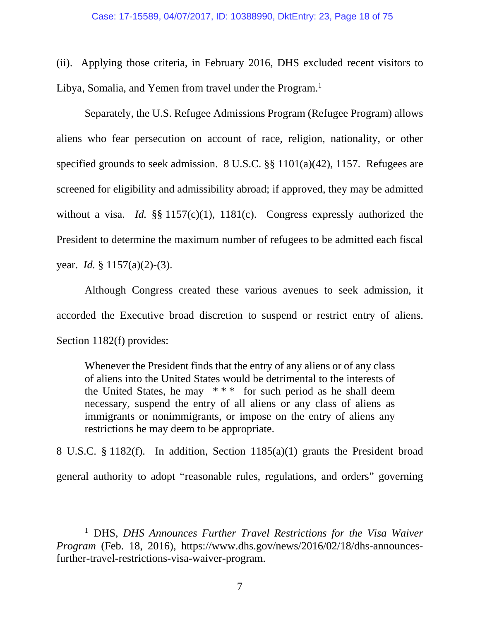(ii). Applying those criteria, in February 2016, DHS excluded recent visitors to Libya, Somalia, and Yemen from travel under the Program.<sup>1</sup>

Separately, the U.S. Refugee Admissions Program (Refugee Program) allows aliens who fear persecution on account of race, religion, nationality, or other specified grounds to seek admission. 8 U.S.C. §§ 1101(a)(42), 1157. Refugees are screened for eligibility and admissibility abroad; if approved, they may be admitted without a visa. *Id.* §§ 1157(c)(1), 1181(c). Congress expressly authorized the President to determine the maximum number of refugees to be admitted each fiscal year. *Id.* § 1157(a)(2)-(3).

Although Congress created these various avenues to seek admission, it accorded the Executive broad discretion to suspend or restrict entry of aliens. Section 1182(f) provides:

Whenever the President finds that the entry of any aliens or of any class of aliens into the United States would be detrimental to the interests of the United States, he may \* \* \* for such period as he shall deem necessary, suspend the entry of all aliens or any class of aliens as immigrants or nonimmigrants, or impose on the entry of aliens any restrictions he may deem to be appropriate.

8 U.S.C. § 1182(f). In addition, Section 1185(a)(1) grants the President broad general authority to adopt "reasonable rules, regulations, and orders" governing

 $\overline{a}$ 

<sup>&</sup>lt;sup>1</sup> DHS, *DHS Announces Further Travel Restrictions for the Visa Waiver Program* (Feb. 18, 2016), https://www.dhs.gov/news/2016/02/18/dhs-announcesfurther-travel-restrictions-visa-waiver-program.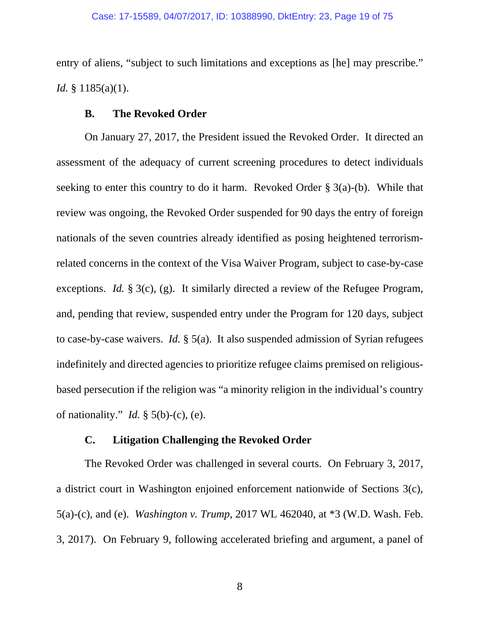entry of aliens, "subject to such limitations and exceptions as [he] may prescribe." *Id.* § 1185(a)(1).

## **B. The Revoked Order**

On January 27, 2017, the President issued the Revoked Order. It directed an assessment of the adequacy of current screening procedures to detect individuals seeking to enter this country to do it harm. Revoked Order § 3(a)-(b). While that review was ongoing, the Revoked Order suspended for 90 days the entry of foreign nationals of the seven countries already identified as posing heightened terrorismrelated concerns in the context of the Visa Waiver Program, subject to case-by-case exceptions. *Id.* § 3(c), (g). It similarly directed a review of the Refugee Program, and, pending that review, suspended entry under the Program for 120 days, subject to case-by-case waivers. *Id.* § 5(a). It also suspended admission of Syrian refugees indefinitely and directed agencies to prioritize refugee claims premised on religiousbased persecution if the religion was "a minority religion in the individual's country of nationality." *Id.* § 5(b)-(c), (e).

## **C. Litigation Challenging the Revoked Order**

The Revoked Order was challenged in several courts. On February 3, 2017, a district court in Washington enjoined enforcement nationwide of Sections 3(c), 5(a)-(c), and (e). *Washington v. Trump*, 2017 WL 462040, at \*3 (W.D. Wash. Feb. 3, 2017). On February 9, following accelerated briefing and argument, a panel of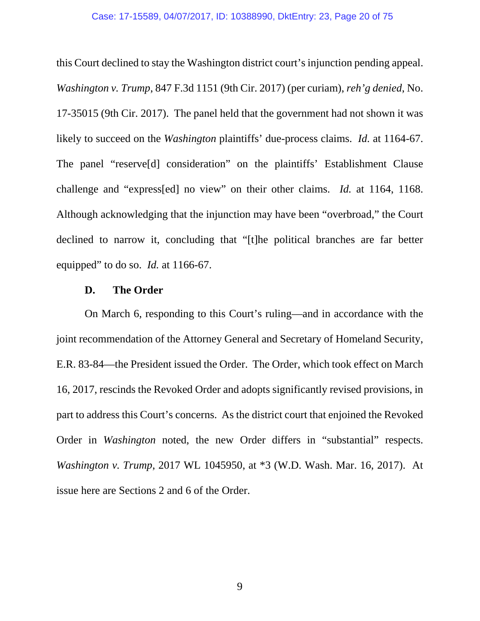this Court declined to stay the Washington district court's injunction pending appeal. *Washington v. Trump*, 847 F.3d 1151 (9th Cir. 2017) (per curiam), *reh'g denied*, No. 17-35015 (9th Cir. 2017). The panel held that the government had not shown it was likely to succeed on the *Washington* plaintiffs' due-process claims. *Id.* at 1164-67. The panel "reserve[d] consideration" on the plaintiffs' Establishment Clause challenge and "express[ed] no view" on their other claims. *Id.* at 1164, 1168. Although acknowledging that the injunction may have been "overbroad," the Court declined to narrow it, concluding that "[t]he political branches are far better equipped" to do so. *Id.* at 1166-67.

## **D. The Order**

On March 6, responding to this Court's ruling—and in accordance with the joint recommendation of the Attorney General and Secretary of Homeland Security, E.R. 83-84—the President issued the Order. The Order, which took effect on March 16, 2017, rescinds the Revoked Order and adopts significantly revised provisions, in part to address this Court's concerns. As the district court that enjoined the Revoked Order in *Washington* noted, the new Order differs in "substantial" respects. *Washington v. Trump*, 2017 WL 1045950, at \*3 (W.D. Wash. Mar. 16, 2017). At issue here are Sections 2 and 6 of the Order.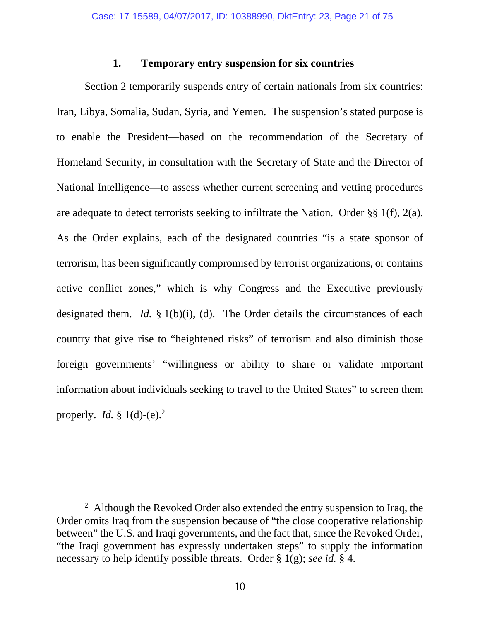### **1. Temporary entry suspension for six countries**

Section 2 temporarily suspends entry of certain nationals from six countries: Iran, Libya, Somalia, Sudan, Syria, and Yemen. The suspension's stated purpose is to enable the President—based on the recommendation of the Secretary of Homeland Security, in consultation with the Secretary of State and the Director of National Intelligence—to assess whether current screening and vetting procedures are adequate to detect terrorists seeking to infiltrate the Nation. Order §§ 1(f), 2(a). As the Order explains, each of the designated countries "is a state sponsor of terrorism, has been significantly compromised by terrorist organizations, or contains active conflict zones," which is why Congress and the Executive previously designated them. *Id.* § 1(b)(i), (d). The Order details the circumstances of each country that give rise to "heightened risks" of terrorism and also diminish those foreign governments' "willingness or ability to share or validate important information about individuals seeking to travel to the United States" to screen them properly. *Id.*  $\frac{8}{3}$  1(d)-(e).<sup>2</sup>

-

<sup>&</sup>lt;sup>2</sup> Although the Revoked Order also extended the entry suspension to Iraq, the Order omits Iraq from the suspension because of "the close cooperative relationship between" the U.S. and Iraqi governments, and the fact that, since the Revoked Order, "the Iraqi government has expressly undertaken steps" to supply the information necessary to help identify possible threats. Order § 1(g); *see id.* § 4.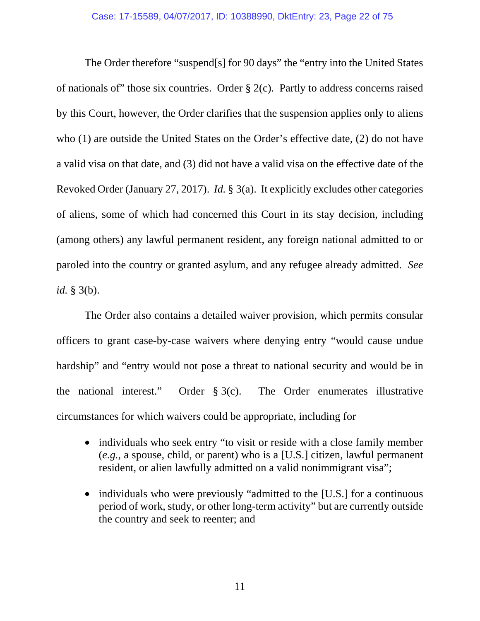The Order therefore "suspend[s] for 90 days" the "entry into the United States of nationals of" those six countries. Order  $\S$  2(c). Partly to address concerns raised by this Court, however, the Order clarifies that the suspension applies only to aliens who (1) are outside the United States on the Order's effective date, (2) do not have a valid visa on that date, and (3) did not have a valid visa on the effective date of the Revoked Order (January 27, 2017). *Id.* § 3(a). It explicitly excludes other categories of aliens, some of which had concerned this Court in its stay decision, including (among others) any lawful permanent resident, any foreign national admitted to or paroled into the country or granted asylum, and any refugee already admitted. *See id.* § 3(b).

The Order also contains a detailed waiver provision, which permits consular officers to grant case-by-case waivers where denying entry "would cause undue hardship" and "entry would not pose a threat to national security and would be in the national interest." Order § 3(c). The Order enumerates illustrative circumstances for which waivers could be appropriate, including for

- individuals who seek entry "to visit or reside with a close family member (*e.g.*, a spouse, child, or parent) who is a [U.S.] citizen, lawful permanent resident, or alien lawfully admitted on a valid nonimmigrant visa";
- individuals who were previously "admitted to the [U.S.] for a continuous period of work, study, or other long-term activity" but are currently outside the country and seek to reenter; and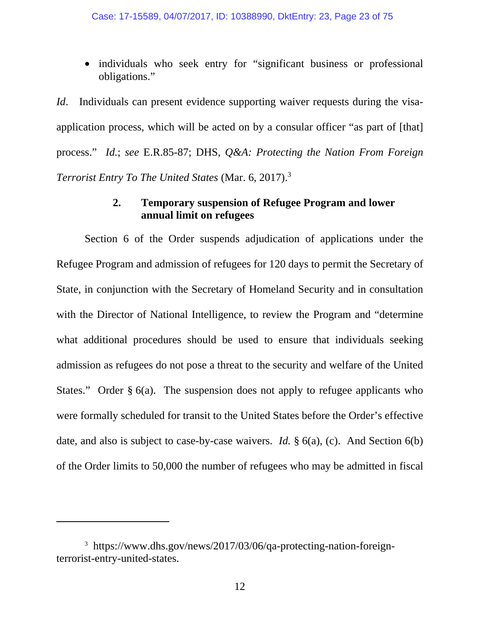• individuals who seek entry for "significant business or professional obligations."

*Id*. Individuals can present evidence supporting waiver requests during the visaapplication process, which will be acted on by a consular officer "as part of [that] process." *Id.*; *see* E.R.85-87; DHS, *Q&A: Protecting the Nation From Foreign Terrorist Entry To The United States* (Mar. 6, 2017).3

# **2. Temporary suspension of Refugee Program and lower annual limit on refugees**

 Section 6 of the Order suspends adjudication of applications under the Refugee Program and admission of refugees for 120 days to permit the Secretary of State, in conjunction with the Secretary of Homeland Security and in consultation with the Director of National Intelligence, to review the Program and "determine what additional procedures should be used to ensure that individuals seeking admission as refugees do not pose a threat to the security and welfare of the United States." Order  $\S$  6(a). The suspension does not apply to refugee applicants who were formally scheduled for transit to the United States before the Order's effective date, and also is subject to case-by-case waivers. *Id.* § 6(a), (c). And Section 6(b) of the Order limits to 50,000 the number of refugees who may be admitted in fiscal

 $\overline{a}$ 

<sup>3</sup> https://www.dhs.gov/news/2017/03/06/qa-protecting-nation-foreignterrorist-entry-united-states.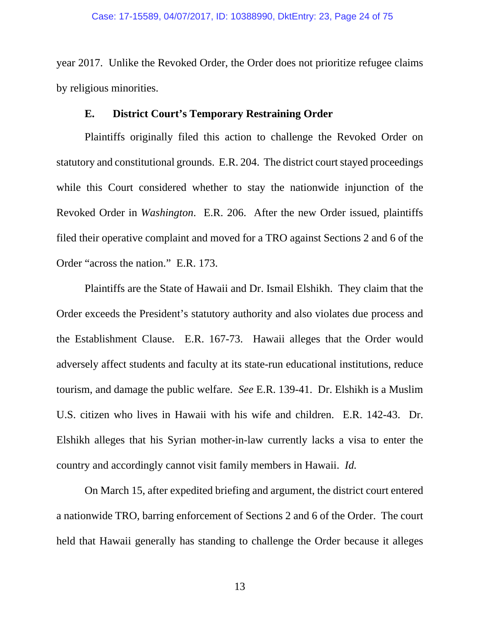year 2017. Unlike the Revoked Order, the Order does not prioritize refugee claims by religious minorities.

### **E. District Court's Temporary Restraining Order**

Plaintiffs originally filed this action to challenge the Revoked Order on statutory and constitutional grounds. E.R. 204. The district court stayed proceedings while this Court considered whether to stay the nationwide injunction of the Revoked Order in *Washington*. E.R. 206. After the new Order issued, plaintiffs filed their operative complaint and moved for a TRO against Sections 2 and 6 of the Order "across the nation." E.R. 173.

Plaintiffs are the State of Hawaii and Dr. Ismail Elshikh. They claim that the Order exceeds the President's statutory authority and also violates due process and the Establishment Clause. E.R. 167-73. Hawaii alleges that the Order would adversely affect students and faculty at its state-run educational institutions, reduce tourism, and damage the public welfare. *See* E.R. 139-41. Dr. Elshikh is a Muslim U.S. citizen who lives in Hawaii with his wife and children. E.R. 142-43.Dr. Elshikh alleges that his Syrian mother-in-law currently lacks a visa to enter the country and accordingly cannot visit family members in Hawaii. *Id.*

On March 15, after expedited briefing and argument, the district court entered a nationwide TRO, barring enforcement of Sections 2 and 6 of the Order. The court held that Hawaii generally has standing to challenge the Order because it alleges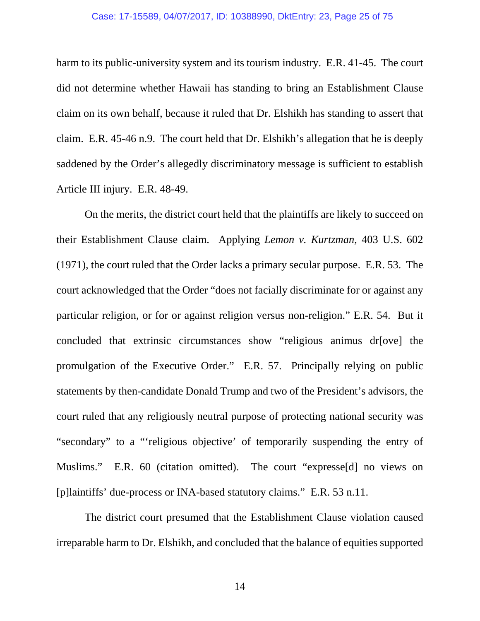#### Case: 17-15589, 04/07/2017, ID: 10388990, DktEntry: 23, Page 25 of 75

harm to its public-university system and its tourism industry. E.R. 41-45. The court did not determine whether Hawaii has standing to bring an Establishment Clause claim on its own behalf, because it ruled that Dr. Elshikh has standing to assert that claim. E.R. 45-46 n.9. The court held that Dr. Elshikh's allegation that he is deeply saddened by the Order's allegedly discriminatory message is sufficient to establish Article III injury. E.R. 48-49.

On the merits, the district court held that the plaintiffs are likely to succeed on their Establishment Clause claim. Applying *Lemon v. Kurtzman*, 403 U.S. 602 (1971), the court ruled that the Order lacks a primary secular purpose. E.R. 53. The court acknowledged that the Order "does not facially discriminate for or against any particular religion, or for or against religion versus non-religion." E.R. 54. But it concluded that extrinsic circumstances show "religious animus dr[ove] the promulgation of the Executive Order." E.R. 57. Principally relying on public statements by then-candidate Donald Trump and two of the President's advisors, the court ruled that any religiously neutral purpose of protecting national security was "secondary" to a "'religious objective' of temporarily suspending the entry of Muslims." E.R. 60 (citation omitted). The court "expresse[d] no views on [p]laintiffs' due-process or INA-based statutory claims." E.R. 53 n.11.

The district court presumed that the Establishment Clause violation caused irreparable harm to Dr. Elshikh, and concluded that the balance of equities supported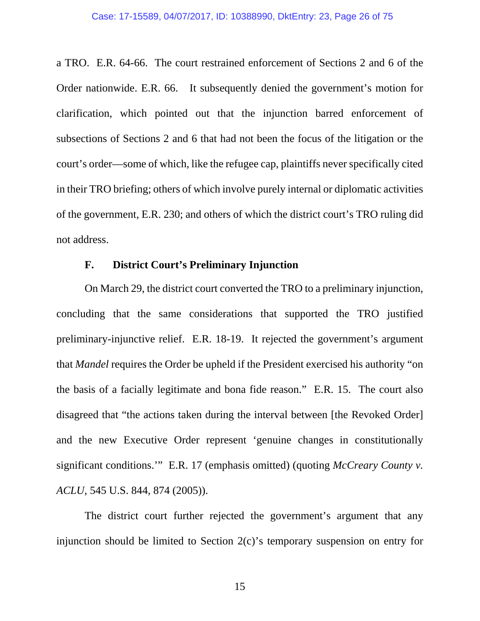a TRO. E.R. 64-66. The court restrained enforcement of Sections 2 and 6 of the Order nationwide. E.R. 66. It subsequently denied the government's motion for clarification, which pointed out that the injunction barred enforcement of subsections of Sections 2 and 6 that had not been the focus of the litigation or the court's order—some of which, like the refugee cap, plaintiffs never specifically cited in their TRO briefing; others of which involve purely internal or diplomatic activities of the government, E.R. 230; and others of which the district court's TRO ruling did not address.

# **F. District Court's Preliminary Injunction**

On March 29, the district court converted the TRO to a preliminary injunction, concluding that the same considerations that supported the TRO justified preliminary-injunctive relief. E.R. 18-19. It rejected the government's argument that *Mandel* requires the Order be upheld if the President exercised his authority "on the basis of a facially legitimate and bona fide reason." E.R. 15. The court also disagreed that "the actions taken during the interval between [the Revoked Order] and the new Executive Order represent 'genuine changes in constitutionally significant conditions.'" E.R. 17 (emphasis omitted) (quoting *McCreary County v. ACLU*, 545 U.S. 844, 874 (2005)).

The district court further rejected the government's argument that any injunction should be limited to Section 2(c)'s temporary suspension on entry for

15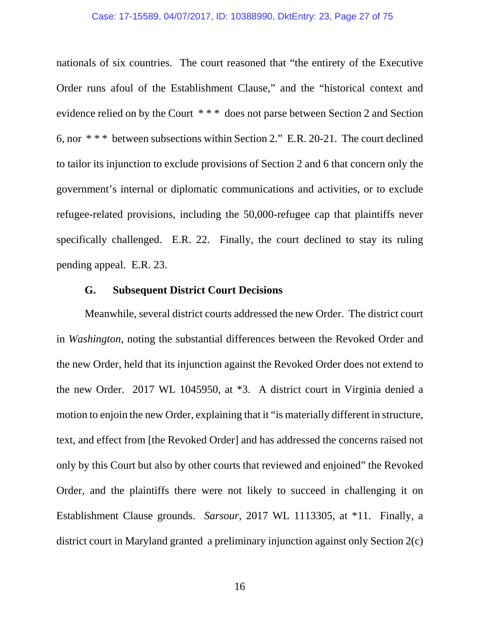#### Case: 17-15589, 04/07/2017, ID: 10388990, DktEntry: 23, Page 27 of 75

nationals of six countries. The court reasoned that "the entirety of the Executive Order runs afoul of the Establishment Clause," and the "historical context and evidence relied on by the Court \* \* \* does not parse between Section 2 and Section 6, nor \* \* \* between subsections within Section 2." E.R. 20-21. The court declined to tailor its injunction to exclude provisions of Section 2 and 6 that concern only the government's internal or diplomatic communications and activities, or to exclude refugee-related provisions, including the 50,000-refugee cap that plaintiffs never specifically challenged. E.R. 22. Finally, the court declined to stay its ruling pending appeal. E.R. 23.

# **G. Subsequent District Court Decisions**

Meanwhile, several district courts addressed the new Order. The district court in *Washington*, noting the substantial differences between the Revoked Order and the new Order, held that its injunction against the Revoked Order does not extend to the new Order. 2017 WL 1045950, at \*3. A district court in Virginia denied a motion to enjoin the new Order, explaining that it "is materially different in structure, text, and effect from [the Revoked Order] and has addressed the concerns raised not only by this Court but also by other courts that reviewed and enjoined" the Revoked Order, and the plaintiffs there were not likely to succeed in challenging it on Establishment Clause grounds. *Sarsour*, 2017 WL 1113305, at \*11. Finally, a district court in Maryland granted a preliminary injunction against only Section 2(c)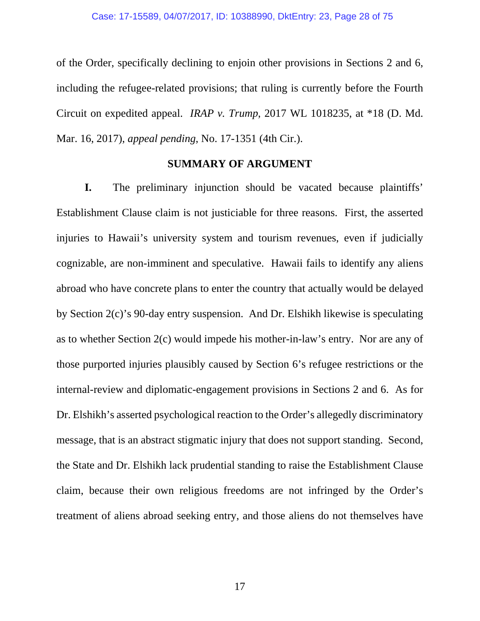of the Order, specifically declining to enjoin other provisions in Sections 2 and 6, including the refugee-related provisions; that ruling is currently before the Fourth Circuit on expedited appeal. *IRAP v. Trump*, 2017 WL 1018235, at \*18 (D. Md. Mar. 16, 2017), *appeal pending*, No. 17-1351 (4th Cir.).

### **SUMMARY OF ARGUMENT**

**I.** The preliminary injunction should be vacated because plaintiffs' Establishment Clause claim is not justiciable for three reasons. First, the asserted injuries to Hawaii's university system and tourism revenues, even if judicially cognizable, are non-imminent and speculative. Hawaii fails to identify any aliens abroad who have concrete plans to enter the country that actually would be delayed by Section 2(c)'s 90-day entry suspension. And Dr. Elshikh likewise is speculating as to whether Section 2(c) would impede his mother-in-law's entry. Nor are any of those purported injuries plausibly caused by Section 6's refugee restrictions or the internal-review and diplomatic-engagement provisions in Sections 2 and 6. As for Dr. Elshikh's asserted psychological reaction to the Order's allegedly discriminatory message, that is an abstract stigmatic injury that does not support standing. Second, the State and Dr. Elshikh lack prudential standing to raise the Establishment Clause claim, because their own religious freedoms are not infringed by the Order's treatment of aliens abroad seeking entry, and those aliens do not themselves have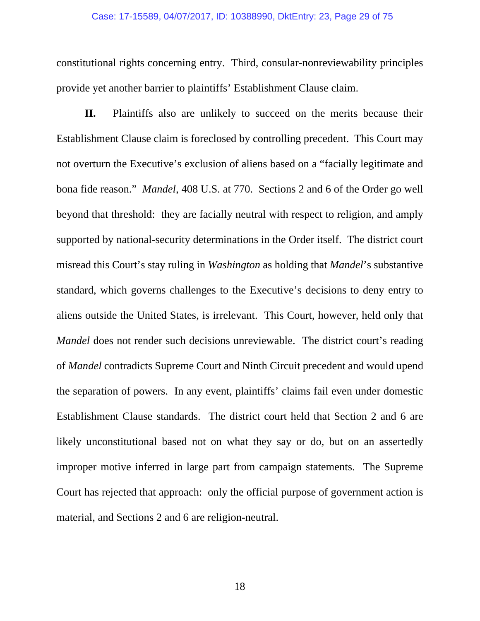#### Case: 17-15589, 04/07/2017, ID: 10388990, DktEntry: 23, Page 29 of 75

constitutional rights concerning entry. Third, consular-nonreviewability principles provide yet another barrier to plaintiffs' Establishment Clause claim.

**II.** Plaintiffs also are unlikely to succeed on the merits because their Establishment Clause claim is foreclosed by controlling precedent. This Court may not overturn the Executive's exclusion of aliens based on a "facially legitimate and bona fide reason." *Mandel*, 408 U.S. at 770. Sections 2 and 6 of the Order go well beyond that threshold: they are facially neutral with respect to religion, and amply supported by national-security determinations in the Order itself. The district court misread this Court's stay ruling in *Washington* as holding that *Mandel*'s substantive standard, which governs challenges to the Executive's decisions to deny entry to aliens outside the United States, is irrelevant. This Court, however, held only that *Mandel* does not render such decisions unreviewable. The district court's reading of *Mandel* contradicts Supreme Court and Ninth Circuit precedent and would upend the separation of powers. In any event, plaintiffs' claims fail even under domestic Establishment Clause standards. The district court held that Section 2 and 6 are likely unconstitutional based not on what they say or do, but on an assertedly improper motive inferred in large part from campaign statements. The Supreme Court has rejected that approach: only the official purpose of government action is material, and Sections 2 and 6 are religion-neutral.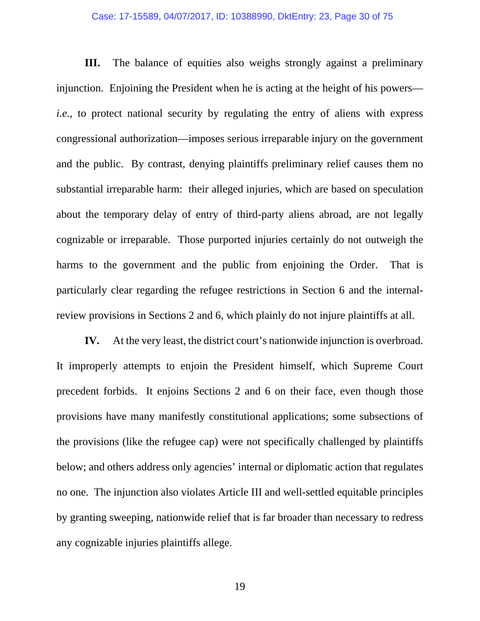#### Case: 17-15589, 04/07/2017, ID: 10388990, DktEntry: 23, Page 30 of 75

**III.** The balance of equities also weighs strongly against a preliminary injunction. Enjoining the President when he is acting at the height of his powers *i.e.*, to protect national security by regulating the entry of aliens with express congressional authorization—imposes serious irreparable injury on the government and the public. By contrast, denying plaintiffs preliminary relief causes them no substantial irreparable harm: their alleged injuries, which are based on speculation about the temporary delay of entry of third-party aliens abroad, are not legally cognizable or irreparable. Those purported injuries certainly do not outweigh the harms to the government and the public from enjoining the Order. That is particularly clear regarding the refugee restrictions in Section 6 and the internalreview provisions in Sections 2 and 6, which plainly do not injure plaintiffs at all.

**IV.** At the very least, the district court's nationwide injunction is overbroad. It improperly attempts to enjoin the President himself, which Supreme Court precedent forbids. It enjoins Sections 2 and 6 on their face, even though those provisions have many manifestly constitutional applications; some subsections of the provisions (like the refugee cap) were not specifically challenged by plaintiffs below; and others address only agencies' internal or diplomatic action that regulates no one. The injunction also violates Article III and well-settled equitable principles by granting sweeping, nationwide relief that is far broader than necessary to redress any cognizable injuries plaintiffs allege.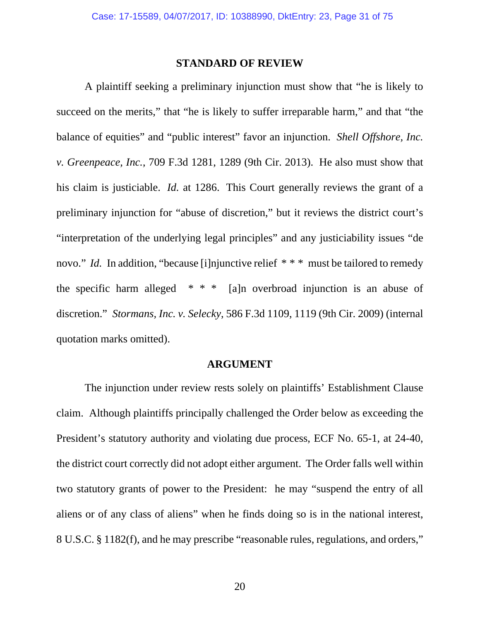### **STANDARD OF REVIEW**

A plaintiff seeking a preliminary injunction must show that "he is likely to succeed on the merits," that "he is likely to suffer irreparable harm," and that "the balance of equities" and "public interest" favor an injunction. *Shell Offshore, Inc. v. Greenpeace, Inc.*, 709 F.3d 1281, 1289 (9th Cir. 2013). He also must show that his claim is justiciable. *Id.* at 1286. This Court generally reviews the grant of a preliminary injunction for "abuse of discretion," but it reviews the district court's "interpretation of the underlying legal principles" and any justiciability issues "de novo." *Id.* In addition, "because [i]njunctive relief \* \* \* must be tailored to remedy the specific harm alleged  $* * *$  [a]n overbroad injunction is an abuse of discretion." *Stormans, Inc. v. Selecky*, 586 F.3d 1109, 1119 (9th Cir. 2009) (internal quotation marks omitted).

### **ARGUMENT**

The injunction under review rests solely on plaintiffs' Establishment Clause claim. Although plaintiffs principally challenged the Order below as exceeding the President's statutory authority and violating due process, ECF No. 65-1, at 24-40, the district court correctly did not adopt either argument. The Order falls well within two statutory grants of power to the President: he may "suspend the entry of all aliens or of any class of aliens" when he finds doing so is in the national interest, 8 U.S.C. § 1182(f), and he may prescribe "reasonable rules, regulations, and orders,"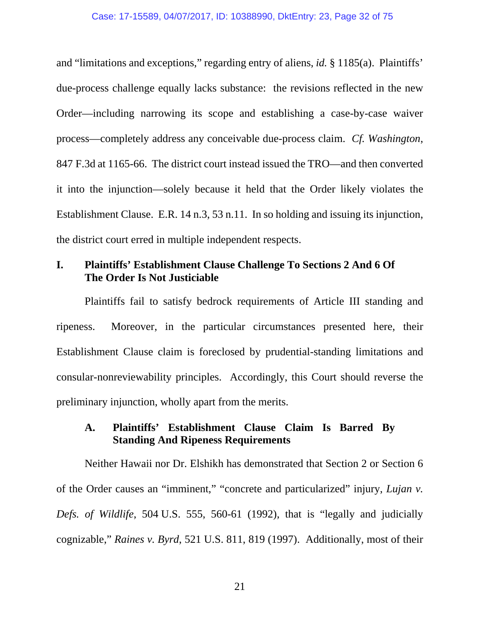and "limitations and exceptions," regarding entry of aliens, *id.* § 1185(a). Plaintiffs' due-process challenge equally lacks substance: the revisions reflected in the new Order—including narrowing its scope and establishing a case-by-case waiver process—completely address any conceivable due-process claim. *Cf. Washington*, 847 F.3d at 1165-66. The district court instead issued the TRO—and then converted it into the injunction—solely because it held that the Order likely violates the Establishment Clause. E.R. 14 n.3, 53 n.11. In so holding and issuing its injunction, the district court erred in multiple independent respects.

# **I. Plaintiffs' Establishment Clause Challenge To Sections 2 And 6 Of The Order Is Not Justiciable**

Plaintiffs fail to satisfy bedrock requirements of Article III standing and ripeness. Moreover, in the particular circumstances presented here, their Establishment Clause claim is foreclosed by prudential-standing limitations and consular-nonreviewability principles. Accordingly, this Court should reverse the preliminary injunction, wholly apart from the merits.

# **A. Plaintiffs' Establishment Clause Claim Is Barred By Standing And Ripeness Requirements**

Neither Hawaii nor Dr. Elshikh has demonstrated that Section 2 or Section 6 of the Order causes an "imminent," "concrete and particularized" injury, *Lujan v. Defs. of Wildlife*, 504 U.S. 555, 560-61 (1992), that is "legally and judicially cognizable," *Raines v. Byrd*, 521 U.S. 811, 819 (1997). Additionally, most of their

21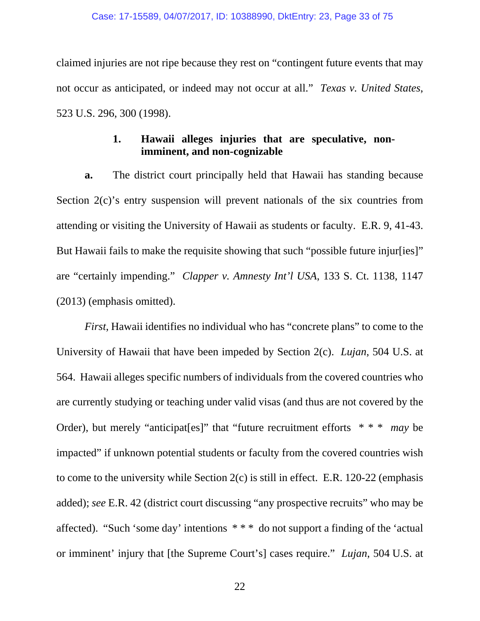claimed injuries are not ripe because they rest on "contingent future events that may not occur as anticipated, or indeed may not occur at all." *Texas v. United States*, 523 U.S. 296, 300 (1998).

# **1. Hawaii alleges injuries that are speculative, nonimminent, and non-cognizable**

**a.** The district court principally held that Hawaii has standing because Section 2(c)'s entry suspension will prevent nationals of the six countries from attending or visiting the University of Hawaii as students or faculty. E.R. 9, 41-43. But Hawaii fails to make the requisite showing that such "possible future injur[ies]" are "certainly impending." *Clapper v. Amnesty Int'l USA*, 133 S. Ct. 1138, 1147 (2013) (emphasis omitted).

*First*, Hawaii identifies no individual who has "concrete plans" to come to the University of Hawaii that have been impeded by Section 2(c). *Lujan*, 504 U.S. at 564. Hawaii alleges specific numbers of individuals from the covered countries who are currently studying or teaching under valid visas (and thus are not covered by the Order), but merely "anticipat[es]" that "future recruitment efforts \* \* \* *may* be impacted" if unknown potential students or faculty from the covered countries wish to come to the university while Section 2(c) is still in effect. E.R. 120-22 (emphasis added); *see* E.R. 42 (district court discussing "any prospective recruits" who may be affected). "Such 'some day' intentions \* \* \* do not support a finding of the 'actual or imminent' injury that [the Supreme Court's] cases require." *Lujan*, 504 U.S. at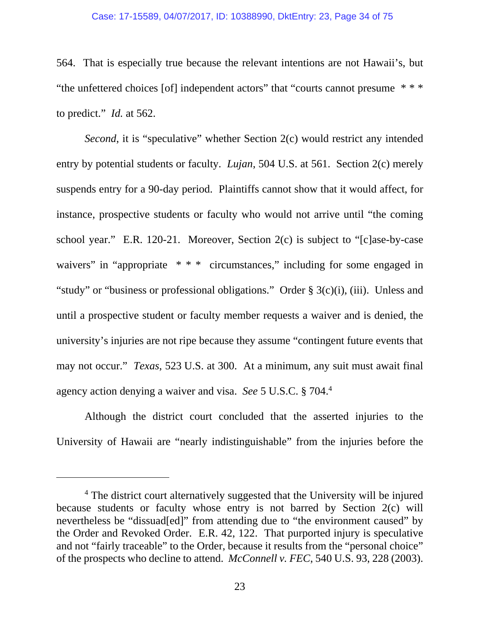#### Case: 17-15589, 04/07/2017, ID: 10388990, DktEntry: 23, Page 34 of 75

564. That is especially true because the relevant intentions are not Hawaii's, but "the unfettered choices [of] independent actors" that "courts cannot presume \* \* \* to predict." *Id.* at 562.

*Second*, it is "speculative" whether Section 2(c) would restrict any intended entry by potential students or faculty. *Lujan*, 504 U.S. at 561. Section 2(c) merely suspends entry for a 90-day period. Plaintiffs cannot show that it would affect, for instance, prospective students or faculty who would not arrive until "the coming school year." E.R. 120-21. Moreover, Section 2(c) is subject to "[c]ase-by-case waivers" in "appropriate \* \* \* circumstances," including for some engaged in "study" or "business or professional obligations." Order § 3(c)(i), (iii). Unless and until a prospective student or faculty member requests a waiver and is denied, the university's injuries are not ripe because they assume "contingent future events that may not occur." *Texas*, 523 U.S. at 300. At a minimum, any suit must await final agency action denying a waiver and visa. *See* 5 U.S.C. § 704.4

Although the district court concluded that the asserted injuries to the University of Hawaii are "nearly indistinguishable" from the injuries before the

 $\overline{a}$ 

<sup>&</sup>lt;sup>4</sup> The district court alternatively suggested that the University will be injured because students or faculty whose entry is not barred by Section 2(c) will nevertheless be "dissuad[ed]" from attending due to "the environment caused" by the Order and Revoked Order. E.R. 42, 122. That purported injury is speculative and not "fairly traceable" to the Order, because it results from the "personal choice" of the prospects who decline to attend. *McConnell v. FEC*, 540 U.S. 93, 228 (2003).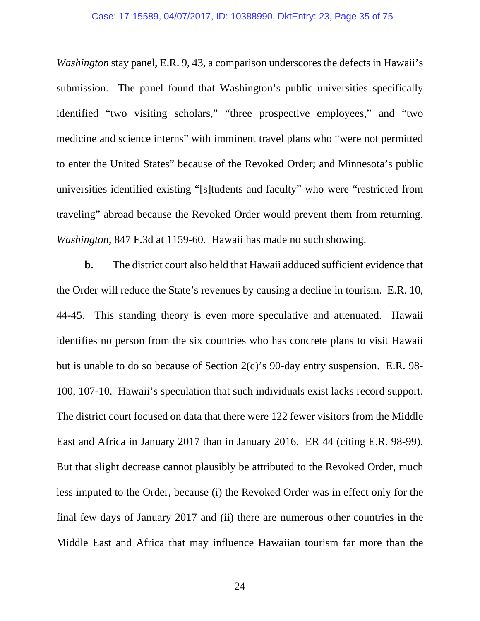*Washington* stay panel, E.R. 9, 43, a comparison underscores the defects in Hawaii's submission. The panel found that Washington's public universities specifically identified "two visiting scholars," "three prospective employees," and "two medicine and science interns" with imminent travel plans who "were not permitted to enter the United States" because of the Revoked Order; and Minnesota's public universities identified existing "[s]tudents and faculty" who were "restricted from traveling" abroad because the Revoked Order would prevent them from returning. *Washington*, 847 F.3d at 1159-60. Hawaii has made no such showing.

**b.** The district court also held that Hawaii adduced sufficient evidence that the Order will reduce the State's revenues by causing a decline in tourism. E.R. 10, 44-45. This standing theory is even more speculative and attenuated. Hawaii identifies no person from the six countries who has concrete plans to visit Hawaii but is unable to do so because of Section 2(c)'s 90-day entry suspension. E.R. 98- 100, 107-10. Hawaii's speculation that such individuals exist lacks record support. The district court focused on data that there were 122 fewer visitors from the Middle East and Africa in January 2017 than in January 2016. ER 44 (citing E.R. 98-99). But that slight decrease cannot plausibly be attributed to the Revoked Order, much less imputed to the Order, because (i) the Revoked Order was in effect only for the final few days of January 2017 and (ii) there are numerous other countries in the Middle East and Africa that may influence Hawaiian tourism far more than the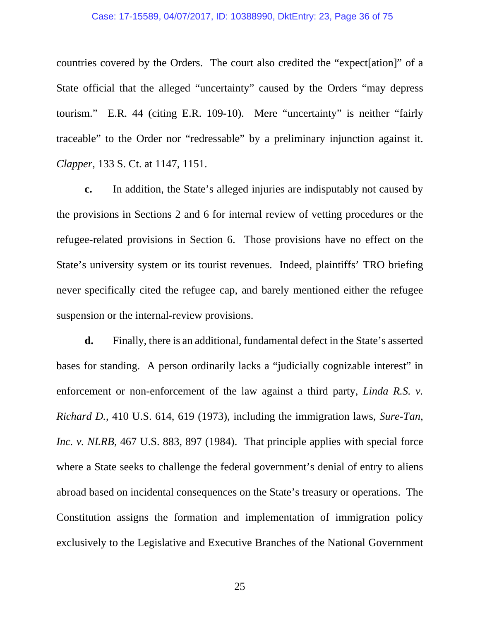#### Case: 17-15589, 04/07/2017, ID: 10388990, DktEntry: 23, Page 36 of 75

countries covered by the Orders. The court also credited the "expect[ation]" of a State official that the alleged "uncertainty" caused by the Orders "may depress tourism." E.R. 44 (citing E.R. 109-10). Mere "uncertainty" is neither "fairly traceable" to the Order nor "redressable" by a preliminary injunction against it. *Clapper*, 133 S. Ct. at 1147, 1151.

**c.** In addition, the State's alleged injuries are indisputably not caused by the provisions in Sections 2 and 6 for internal review of vetting procedures or the refugee-related provisions in Section 6. Those provisions have no effect on the State's university system or its tourist revenues. Indeed, plaintiffs' TRO briefing never specifically cited the refugee cap, and barely mentioned either the refugee suspension or the internal-review provisions.

**d.** Finally, there is an additional, fundamental defect in the State's asserted bases for standing. A person ordinarily lacks a "judicially cognizable interest" in enforcement or non-enforcement of the law against a third party, *Linda R.S. v. Richard D.*, 410 U.S. 614, 619 (1973), including the immigration laws, *Sure-Tan, Inc. v. NLRB*, 467 U.S. 883, 897 (1984). That principle applies with special force where a State seeks to challenge the federal government's denial of entry to aliens abroad based on incidental consequences on the State's treasury or operations. The Constitution assigns the formation and implementation of immigration policy exclusively to the Legislative and Executive Branches of the National Government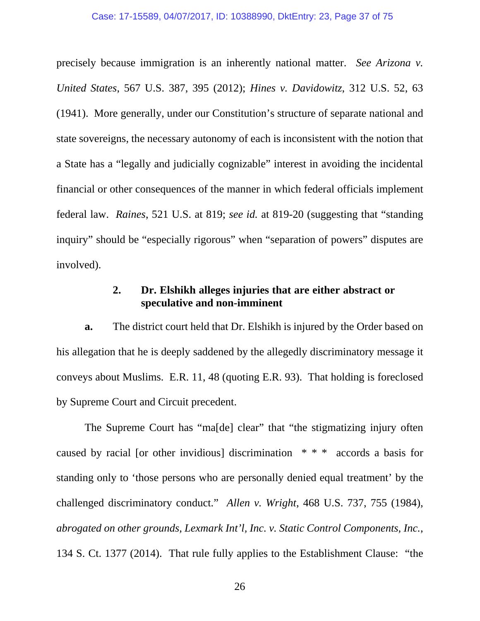precisely because immigration is an inherently national matter. *See Arizona v. United States*, 567 U.S. 387, 395 (2012); *Hines v. Davidowitz*, 312 U.S. 52, 63 (1941). More generally, under our Constitution's structure of separate national and state sovereigns, the necessary autonomy of each is inconsistent with the notion that a State has a "legally and judicially cognizable" interest in avoiding the incidental financial or other consequences of the manner in which federal officials implement federal law. *Raines*, 521 U.S. at 819; *see id.* at 819-20 (suggesting that "standing inquiry" should be "especially rigorous" when "separation of powers" disputes are involved).

# **2. Dr. Elshikh alleges injuries that are either abstract or speculative and non-imminent**

**a.** The district court held that Dr. Elshikh is injured by the Order based on his allegation that he is deeply saddened by the allegedly discriminatory message it conveys about Muslims. E.R. 11, 48 (quoting E.R. 93). That holding is foreclosed by Supreme Court and Circuit precedent.

The Supreme Court has "ma[de] clear" that "the stigmatizing injury often caused by racial [or other invidious] discrimination \* \* \* accords a basis for standing only to 'those persons who are personally denied equal treatment' by the challenged discriminatory conduct." *Allen v. Wright*, 468 U.S. 737, 755 (1984), *abrogated on other grounds, Lexmark Int'l, Inc. v. Static Control Components, Inc.*, 134 S. Ct. 1377 (2014). That rule fully applies to the Establishment Clause: "the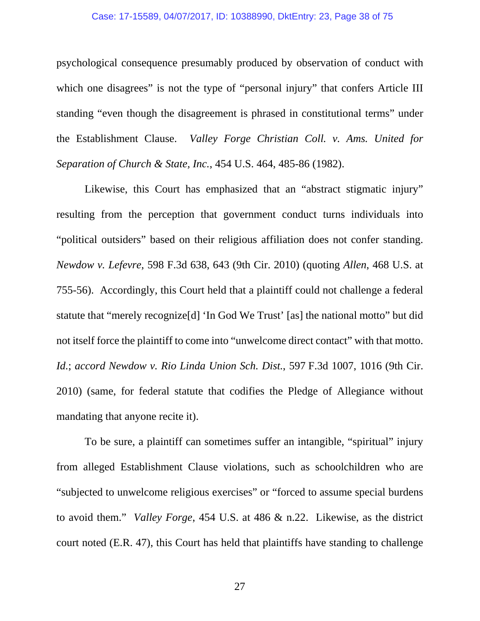## Case: 17-15589, 04/07/2017, ID: 10388990, DktEntry: 23, Page 38 of 75

psychological consequence presumably produced by observation of conduct with which one disagrees" is not the type of "personal injury" that confers Article III standing "even though the disagreement is phrased in constitutional terms" under the Establishment Clause. *Valley Forge Christian Coll. v. Ams. United for Separation of Church & State, Inc.*, 454 U.S. 464, 485-86 (1982).

Likewise, this Court has emphasized that an "abstract stigmatic injury" resulting from the perception that government conduct turns individuals into "political outsiders" based on their religious affiliation does not confer standing. *Newdow v. Lefevre*, 598 F.3d 638, 643 (9th Cir. 2010) (quoting *Allen*, 468 U.S. at 755-56). Accordingly, this Court held that a plaintiff could not challenge a federal statute that "merely recognize[d] 'In God We Trust' [as] the national motto" but did not itself force the plaintiff to come into "unwelcome direct contact" with that motto. *Id.*; *accord Newdow v. Rio Linda Union Sch. Dist.*, 597 F.3d 1007, 1016 (9th Cir. 2010) (same, for federal statute that codifies the Pledge of Allegiance without mandating that anyone recite it).

To be sure, a plaintiff can sometimes suffer an intangible, "spiritual" injury from alleged Establishment Clause violations, such as schoolchildren who are "subjected to unwelcome religious exercises" or "forced to assume special burdens to avoid them." *Valley Forge*, 454 U.S. at 486 & n.22. Likewise, as the district court noted (E.R. 47), this Court has held that plaintiffs have standing to challenge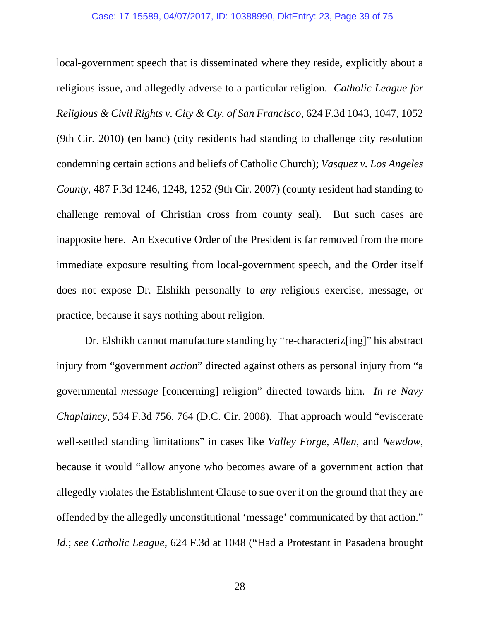local-government speech that is disseminated where they reside, explicitly about a religious issue, and allegedly adverse to a particular religion. *Catholic League for Religious & Civil Rights v. City & Cty. of San Francisco*, 624 F.3d 1043, 1047, 1052 (9th Cir. 2010) (en banc) (city residents had standing to challenge city resolution condemning certain actions and beliefs of Catholic Church); *Vasquez v. Los Angeles County*, 487 F.3d 1246, 1248, 1252 (9th Cir. 2007) (county resident had standing to challenge removal of Christian cross from county seal). But such cases are inapposite here. An Executive Order of the President is far removed from the more immediate exposure resulting from local-government speech, and the Order itself does not expose Dr. Elshikh personally to *any* religious exercise, message, or practice, because it says nothing about religion.

Dr. Elshikh cannot manufacture standing by "re-characteriz[ing]" his abstract injury from "government *action*" directed against others as personal injury from "a governmental *message* [concerning] religion" directed towards him. *In re Navy Chaplaincy*, 534 F.3d 756, 764 (D.C. Cir. 2008). That approach would "eviscerate well-settled standing limitations" in cases like *Valley Forge*, *Allen*, and *Newdow*, because it would "allow anyone who becomes aware of a government action that allegedly violates the Establishment Clause to sue over it on the ground that they are offended by the allegedly unconstitutional 'message' communicated by that action." *Id.*; *see Catholic League*, 624 F.3d at 1048 ("Had a Protestant in Pasadena brought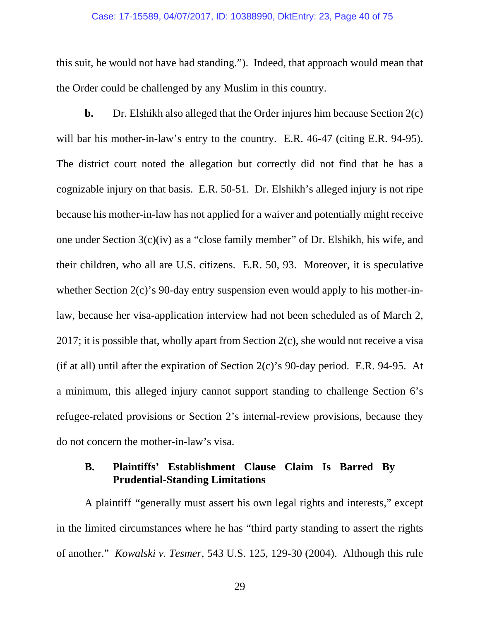### Case: 17-15589, 04/07/2017, ID: 10388990, DktEntry: 23, Page 40 of 75

this suit, he would not have had standing."). Indeed, that approach would mean that the Order could be challenged by any Muslim in this country.

**b.** Dr. Elshikh also alleged that the Order injures him because Section 2(c) will bar his mother-in-law's entry to the country. E.R. 46-47 (citing E.R. 94-95). The district court noted the allegation but correctly did not find that he has a cognizable injury on that basis. E.R. 50-51. Dr. Elshikh's alleged injury is not ripe because his mother-in-law has not applied for a waiver and potentially might receive one under Section 3(c)(iv) as a "close family member" of Dr. Elshikh, his wife, and their children, who all are U.S. citizens. E.R. 50, 93. Moreover, it is speculative whether Section 2(c)'s 90-day entry suspension even would apply to his mother-inlaw, because her visa-application interview had not been scheduled as of March 2, 2017; it is possible that, wholly apart from Section 2(c), she would not receive a visa (if at all) until after the expiration of Section  $2(c)$ 's 90-day period. E.R. 94-95. At a minimum, this alleged injury cannot support standing to challenge Section 6's refugee-related provisions or Section 2's internal-review provisions, because they do not concern the mother-in-law's visa.

# **B. Plaintiffs' Establishment Clause Claim Is Barred By Prudential-Standing Limitations**

A plaintiff "generally must assert his own legal rights and interests," except in the limited circumstances where he has "third party standing to assert the rights of another." *Kowalski v. Tesmer*, 543 U.S. 125, 129-30 (2004). Although this rule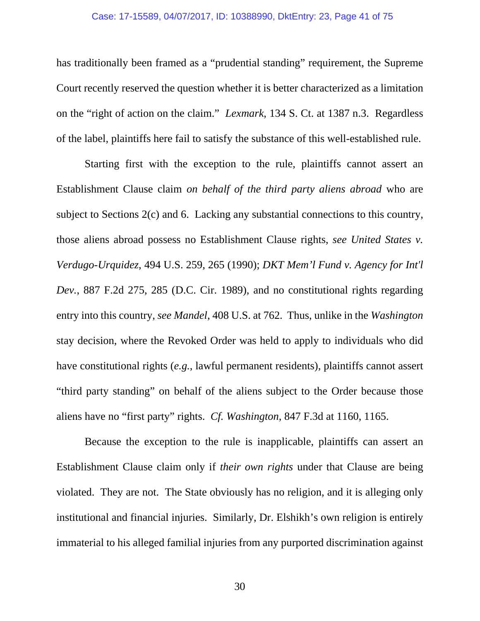## Case: 17-15589, 04/07/2017, ID: 10388990, DktEntry: 23, Page 41 of 75

has traditionally been framed as a "prudential standing" requirement, the Supreme Court recently reserved the question whether it is better characterized as a limitation on the "right of action on the claim." *Lexmark*, 134 S. Ct. at 1387 n.3. Regardless of the label, plaintiffs here fail to satisfy the substance of this well-established rule.

Starting first with the exception to the rule, plaintiffs cannot assert an Establishment Clause claim *on behalf of the third party aliens abroad* who are subject to Sections 2(c) and 6. Lacking any substantial connections to this country, those aliens abroad possess no Establishment Clause rights, *see United States v. Verdugo-Urquidez*, 494 U.S. 259, 265 (1990); *DKT Mem'l Fund v. Agency for Int'l Dev.*, 887 F.2d 275, 285 (D.C. Cir. 1989), and no constitutional rights regarding entry into this country, *see Mandel*, 408 U.S. at 762. Thus, unlike in the *Washington*  stay decision, where the Revoked Order was held to apply to individuals who did have constitutional rights (*e.g.*, lawful permanent residents), plaintiffs cannot assert "third party standing" on behalf of the aliens subject to the Order because those aliens have no "first party" rights. *Cf. Washington*, 847 F.3d at 1160, 1165.

Because the exception to the rule is inapplicable, plaintiffs can assert an Establishment Clause claim only if *their own rights* under that Clause are being violated. They are not. The State obviously has no religion, and it is alleging only institutional and financial injuries. Similarly, Dr. Elshikh's own religion is entirely immaterial to his alleged familial injuries from any purported discrimination against

30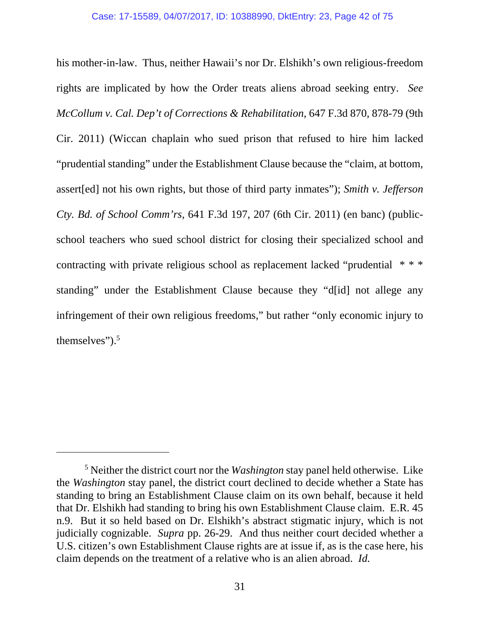his mother-in-law. Thus, neither Hawaii's nor Dr. Elshikh's own religious-freedom rights are implicated by how the Order treats aliens abroad seeking entry. *See McCollum v. Cal. Dep't of Corrections & Rehabilitation*, 647 F.3d 870, 878-79 (9th Cir. 2011) (Wiccan chaplain who sued prison that refused to hire him lacked "prudential standing" under the Establishment Clause because the "claim, at bottom, assert[ed] not his own rights, but those of third party inmates"); *Smith v. Jefferson Cty. Bd. of School Comm'rs*, 641 F.3d 197, 207 (6th Cir. 2011) (en banc) (publicschool teachers who sued school district for closing their specialized school and contracting with private religious school as replacement lacked "prudential \* \* \* standing" under the Establishment Clause because they "d[id] not allege any infringement of their own religious freedoms," but rather "only economic injury to themselves").5

-

<sup>5</sup> Neither the district court nor the *Washington* stay panel held otherwise. Like the *Washington* stay panel, the district court declined to decide whether a State has standing to bring an Establishment Clause claim on its own behalf, because it held that Dr. Elshikh had standing to bring his own Establishment Clause claim. E.R. 45 n.9. But it so held based on Dr. Elshikh's abstract stigmatic injury, which is not judicially cognizable. *Supra* pp. 26-29. And thus neither court decided whether a U.S. citizen's own Establishment Clause rights are at issue if, as is the case here, his claim depends on the treatment of a relative who is an alien abroad. *Id.*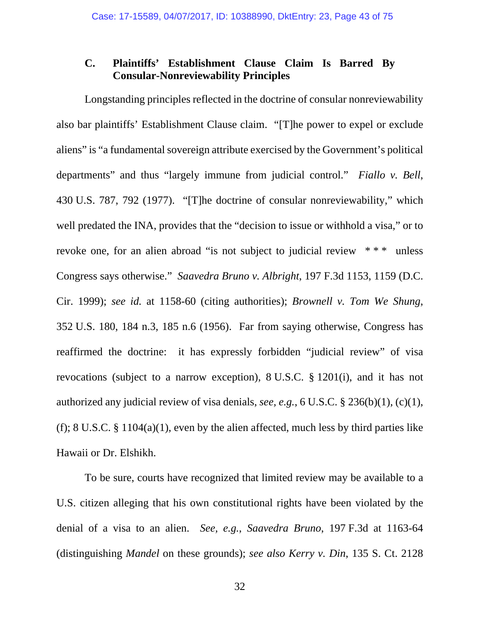# **C. Plaintiffs' Establishment Clause Claim Is Barred By Consular-Nonreviewability Principles**

Longstanding principles reflected in the doctrine of consular nonreviewability also bar plaintiffs' Establishment Clause claim. "[T]he power to expel or exclude aliens" is "a fundamental sovereign attribute exercised by the Government's political departments" and thus "largely immune from judicial control." *Fiallo v. Bell*, 430 U.S. 787, 792 (1977). "[T]he doctrine of consular nonreviewability," which well predated the INA, provides that the "decision to issue or withhold a visa," or to revoke one, for an alien abroad "is not subject to judicial review \* \* \* unless Congress says otherwise." *Saavedra Bruno v. Albright*, 197 F.3d 1153, 1159 (D.C. Cir. 1999); *see id.* at 1158-60 (citing authorities); *Brownell v. Tom We Shung*, 352 U.S. 180, 184 n.3, 185 n.6 (1956). Far from saying otherwise, Congress has reaffirmed the doctrine: it has expressly forbidden "judicial review" of visa revocations (subject to a narrow exception), 8 U.S.C. § 1201(i), and it has not authorized any judicial review of visa denials, *see, e.g.*, 6 U.S.C. § 236(b)(1), (c)(1), (f); 8 U.S.C. § 1104(a)(1), even by the alien affected, much less by third parties like Hawaii or Dr. Elshikh.

To be sure, courts have recognized that limited review may be available to a U.S. citizen alleging that his own constitutional rights have been violated by the denial of a visa to an alien. *See, e.g.*, *Saavedra Bruno*, 197 F.3d at 1163-64 (distinguishing *Mandel* on these grounds); *see also Kerry v. Din*, 135 S. Ct. 2128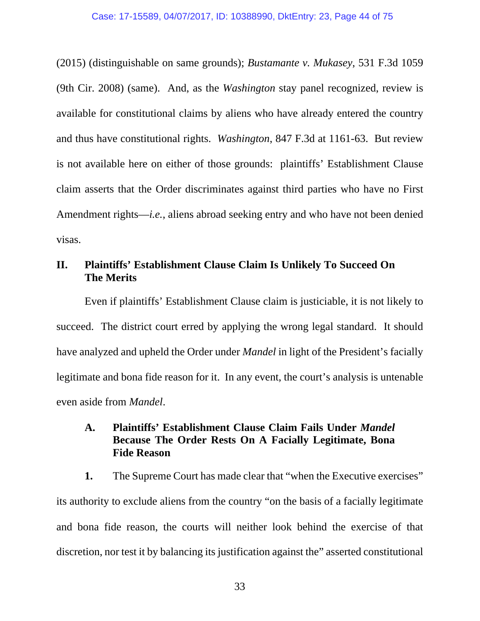(2015) (distinguishable on same grounds); *Bustamante v. Mukasey*, 531 F.3d 1059 (9th Cir. 2008) (same). And, as the *Washington* stay panel recognized, review is available for constitutional claims by aliens who have already entered the country and thus have constitutional rights. *Washington*, 847 F.3d at 1161-63. But review is not available here on either of those grounds: plaintiffs' Establishment Clause claim asserts that the Order discriminates against third parties who have no First Amendment rights—*i.e.*, aliens abroad seeking entry and who have not been denied visas.

# **II. Plaintiffs' Establishment Clause Claim Is Unlikely To Succeed On The Merits**

Even if plaintiffs' Establishment Clause claim is justiciable, it is not likely to succeed. The district court erred by applying the wrong legal standard. It should have analyzed and upheld the Order under *Mandel* in light of the President's facially legitimate and bona fide reason for it. In any event, the court's analysis is untenable even aside from *Mandel*.

# **A. Plaintiffs' Establishment Clause Claim Fails Under** *Mandel*  **Because The Order Rests On A Facially Legitimate, Bona Fide Reason**

**1.** The Supreme Court has made clear that "when the Executive exercises" its authority to exclude aliens from the country "on the basis of a facially legitimate and bona fide reason, the courts will neither look behind the exercise of that discretion, nor test it by balancing its justification against the" asserted constitutional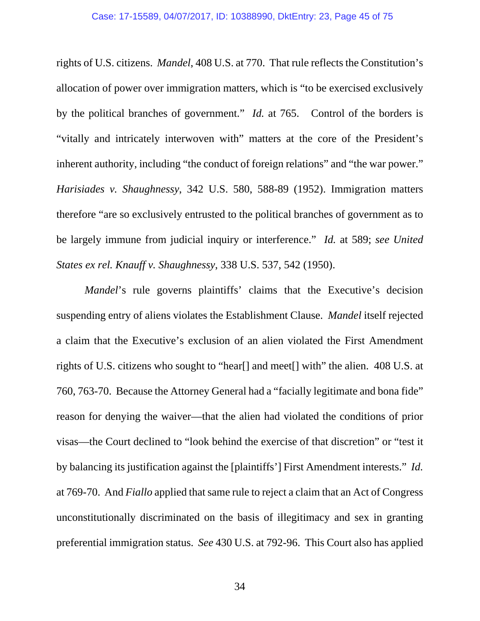rights of U.S. citizens. *Mandel*, 408 U.S. at 770. That rule reflects the Constitution's allocation of power over immigration matters, which is "to be exercised exclusively by the political branches of government." *Id.* at 765. Control of the borders is "vitally and intricately interwoven with" matters at the core of the President's inherent authority, including "the conduct of foreign relations" and "the war power." *Harisiades v. Shaughnessy*, 342 U.S. 580, 588-89 (1952). Immigration matters therefore "are so exclusively entrusted to the political branches of government as to be largely immune from judicial inquiry or interference." *Id.* at 589; *see United States ex rel. Knauff v. Shaughnessy*, 338 U.S. 537, 542 (1950).

*Mandel*'s rule governs plaintiffs' claims that the Executive's decision suspending entry of aliens violates the Establishment Clause. *Mandel* itself rejected a claim that the Executive's exclusion of an alien violated the First Amendment rights of U.S. citizens who sought to "hear[] and meet[] with" the alien. 408 U.S. at 760, 763-70. Because the Attorney General had a "facially legitimate and bona fide" reason for denying the waiver—that the alien had violated the conditions of prior visas—the Court declined to "look behind the exercise of that discretion" or "test it by balancing its justification against the [plaintiffs'] First Amendment interests." *Id.* at 769-70. And *Fiallo* applied that same rule to reject a claim that an Act of Congress unconstitutionally discriminated on the basis of illegitimacy and sex in granting preferential immigration status. *See* 430 U.S. at 792-96. This Court also has applied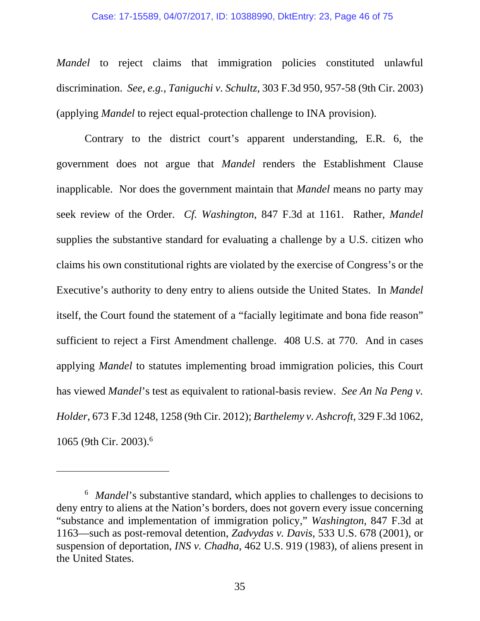## Case: 17-15589, 04/07/2017, ID: 10388990, DktEntry: 23, Page 46 of 75

*Mandel* to reject claims that immigration policies constituted unlawful discrimination. *See, e.g.*, *Taniguchi v. Schultz*, 303 F.3d 950, 957-58 (9th Cir. 2003) (applying *Mandel* to reject equal-protection challenge to INA provision).

Contrary to the district court's apparent understanding, E.R. 6, the government does not argue that *Mandel* renders the Establishment Clause inapplicable. Nor does the government maintain that *Mandel* means no party may seek review of the Order. *Cf. Washington*, 847 F.3d at 1161. Rather, *Mandel* supplies the substantive standard for evaluating a challenge by a U.S. citizen who claims his own constitutional rights are violated by the exercise of Congress's or the Executive's authority to deny entry to aliens outside the United States. In *Mandel*  itself, the Court found the statement of a "facially legitimate and bona fide reason" sufficient to reject a First Amendment challenge. 408 U.S. at 770. And in cases applying *Mandel* to statutes implementing broad immigration policies, this Court has viewed *Mandel*'s test as equivalent to rational-basis review. *See An Na Peng v. Holder*, 673 F.3d 1248, 1258 (9th Cir. 2012); *Barthelemy v. Ashcroft*, 329 F.3d 1062, 1065 (9th Cir. 2003).6

-

<sup>6</sup> *Mandel*'s substantive standard, which applies to challenges to decisions to deny entry to aliens at the Nation's borders, does not govern every issue concerning "substance and implementation of immigration policy," *Washington*, 847 F.3d at 1163—such as post-removal detention, *Zadvydas v. Davis*, 533 U.S. 678 (2001), or suspension of deportation, *INS v. Chadha*, 462 U.S. 919 (1983), of aliens present in the United States.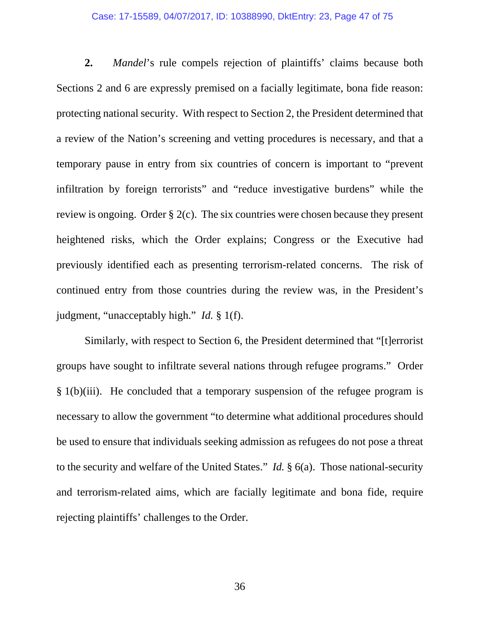# Case: 17-15589, 04/07/2017, ID: 10388990, DktEntry: 23, Page 47 of 75

**2.** *Mandel*'s rule compels rejection of plaintiffs' claims because both Sections 2 and 6 are expressly premised on a facially legitimate, bona fide reason: protecting national security. With respect to Section 2, the President determined that a review of the Nation's screening and vetting procedures is necessary, and that a temporary pause in entry from six countries of concern is important to "prevent infiltration by foreign terrorists" and "reduce investigative burdens" while the review is ongoing. Order § 2(c). The six countries were chosen because they present heightened risks, which the Order explains; Congress or the Executive had previously identified each as presenting terrorism-related concerns. The risk of continued entry from those countries during the review was, in the President's judgment, "unacceptably high." *Id.* § 1(f).

Similarly, with respect to Section 6, the President determined that "[t]errorist groups have sought to infiltrate several nations through refugee programs." Order  $§ 1(b)(iii)$ . He concluded that a temporary suspension of the refugee program is necessary to allow the government "to determine what additional procedures should be used to ensure that individuals seeking admission as refugees do not pose a threat to the security and welfare of the United States." *Id.* § 6(a). Those national-security and terrorism-related aims, which are facially legitimate and bona fide, require rejecting plaintiffs' challenges to the Order.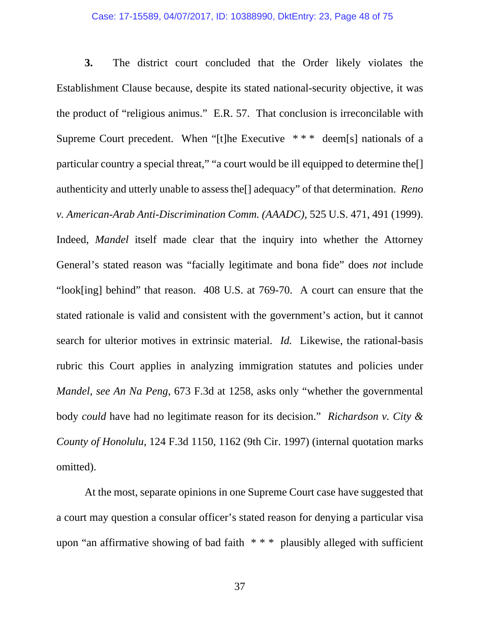## Case: 17-15589, 04/07/2017, ID: 10388990, DktEntry: 23, Page 48 of 75

**3.** The district court concluded that the Order likely violates the Establishment Clause because, despite its stated national-security objective, it was the product of "religious animus." E.R. 57. That conclusion is irreconcilable with Supreme Court precedent. When "[t]he Executive \*\*\* deem[s] nationals of a particular country a special threat," "a court would be ill equipped to determine the[] authenticity and utterly unable to assess the[] adequacy" of that determination. *Reno v. American-Arab Anti-Discrimination Comm. (AAADC)*, 525 U.S. 471, 491 (1999). Indeed, *Mandel* itself made clear that the inquiry into whether the Attorney General's stated reason was "facially legitimate and bona fide" does *not* include "look[ing] behind" that reason. 408 U.S. at 769-70. A court can ensure that the stated rationale is valid and consistent with the government's action, but it cannot search for ulterior motives in extrinsic material. *Id.* Likewise, the rational-basis rubric this Court applies in analyzing immigration statutes and policies under *Mandel*, *see An Na Peng*, 673 F.3d at 1258, asks only "whether the governmental body *could* have had no legitimate reason for its decision." *Richardson v. City & County of Honolulu*, 124 F.3d 1150, 1162 (9th Cir. 1997) (internal quotation marks omitted).

At the most, separate opinions in one Supreme Court case have suggested that a court may question a consular officer's stated reason for denying a particular visa upon "an affirmative showing of bad faith \* \* \* plausibly alleged with sufficient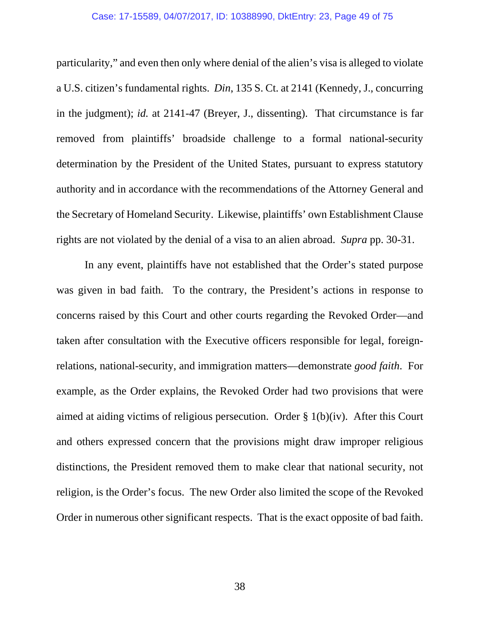## Case: 17-15589, 04/07/2017, ID: 10388990, DktEntry: 23, Page 49 of 75

particularity," and even then only where denial of the alien's visa is alleged to violate a U.S. citizen's fundamental rights. *Din*, 135 S. Ct. at 2141 (Kennedy, J., concurring in the judgment); *id.* at 2141-47 (Breyer, J., dissenting). That circumstance is far removed from plaintiffs' broadside challenge to a formal national-security determination by the President of the United States, pursuant to express statutory authority and in accordance with the recommendations of the Attorney General and the Secretary of Homeland Security. Likewise, plaintiffs' own Establishment Clause rights are not violated by the denial of a visa to an alien abroad. *Supra* pp. 30-31.

In any event, plaintiffs have not established that the Order's stated purpose was given in bad faith. To the contrary, the President's actions in response to concerns raised by this Court and other courts regarding the Revoked Order—and taken after consultation with the Executive officers responsible for legal, foreignrelations, national-security, and immigration matters—demonstrate *good faith*. For example, as the Order explains, the Revoked Order had two provisions that were aimed at aiding victims of religious persecution. Order § 1(b)(iv). After this Court and others expressed concern that the provisions might draw improper religious distinctions, the President removed them to make clear that national security, not religion, is the Order's focus. The new Order also limited the scope of the Revoked Order in numerous other significant respects. That is the exact opposite of bad faith.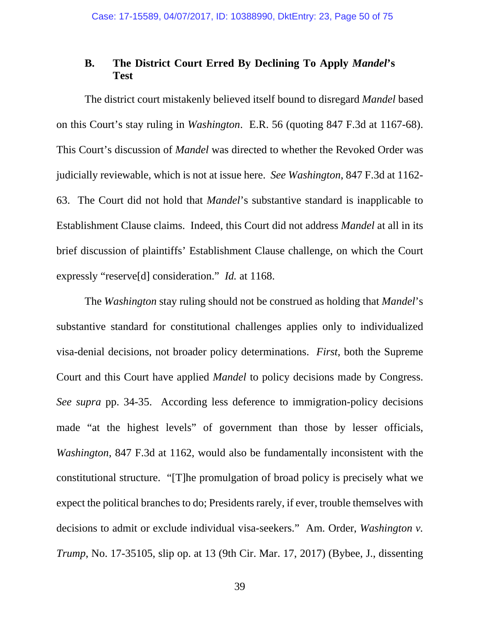# **B. The District Court Erred By Declining To Apply** *Mandel***'s Test**

The district court mistakenly believed itself bound to disregard *Mandel* based on this Court's stay ruling in *Washington*. E.R. 56 (quoting 847 F.3d at 1167-68). This Court's discussion of *Mandel* was directed to whether the Revoked Order was judicially reviewable, which is not at issue here. *See Washington*, 847 F.3d at 1162- 63. The Court did not hold that *Mandel*'s substantive standard is inapplicable to Establishment Clause claims. Indeed, this Court did not address *Mandel* at all in its brief discussion of plaintiffs' Establishment Clause challenge, on which the Court expressly "reserve[d] consideration." *Id.* at 1168.

The *Washington* stay ruling should not be construed as holding that *Mandel*'s substantive standard for constitutional challenges applies only to individualized visa-denial decisions, not broader policy determinations. *First*, both the Supreme Court and this Court have applied *Mandel* to policy decisions made by Congress. *See supra* pp. 34-35. According less deference to immigration-policy decisions made "at the highest levels" of government than those by lesser officials, *Washington*, 847 F.3d at 1162, would also be fundamentally inconsistent with the constitutional structure. "[T]he promulgation of broad policy is precisely what we expect the political branches to do; Presidents rarely, if ever, trouble themselves with decisions to admit or exclude individual visa-seekers." Am. Order, *Washington v. Trump*, No. 17-35105, slip op. at 13 (9th Cir. Mar. 17, 2017) (Bybee, J., dissenting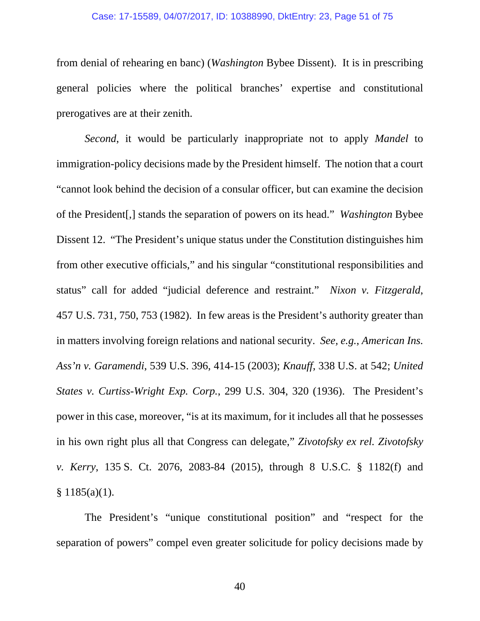## Case: 17-15589, 04/07/2017, ID: 10388990, DktEntry: 23, Page 51 of 75

from denial of rehearing en banc) (*Washington* Bybee Dissent). It is in prescribing general policies where the political branches' expertise and constitutional prerogatives are at their zenith.

*Second*, it would be particularly inappropriate not to apply *Mandel* to immigration-policy decisions made by the President himself. The notion that a court "cannot look behind the decision of a consular officer, but can examine the decision of the President[,] stands the separation of powers on its head." *Washington* Bybee Dissent 12. "The President's unique status under the Constitution distinguishes him from other executive officials," and his singular "constitutional responsibilities and status" call for added "judicial deference and restraint." *Nixon v. Fitzgerald*, 457 U.S. 731, 750, 753 (1982). In few areas is the President's authority greater than in matters involving foreign relations and national security. *See, e.g.*, *American Ins. Ass'n v. Garamendi*, 539 U.S. 396, 414-15 (2003); *Knauff*, 338 U.S. at 542; *United States v. Curtiss-Wright Exp. Corp.*, 299 U.S. 304, 320 (1936). The President's power in this case, moreover, "is at its maximum, for it includes all that he possesses in his own right plus all that Congress can delegate," *Zivotofsky ex rel. Zivotofsky v. Kerry*, 135 S. Ct. 2076, 2083-84 (2015), through 8 U.S.C. § 1182(f) and  $§ 1185(a)(1).$ 

The President's "unique constitutional position" and "respect for the separation of powers" compel even greater solicitude for policy decisions made by

40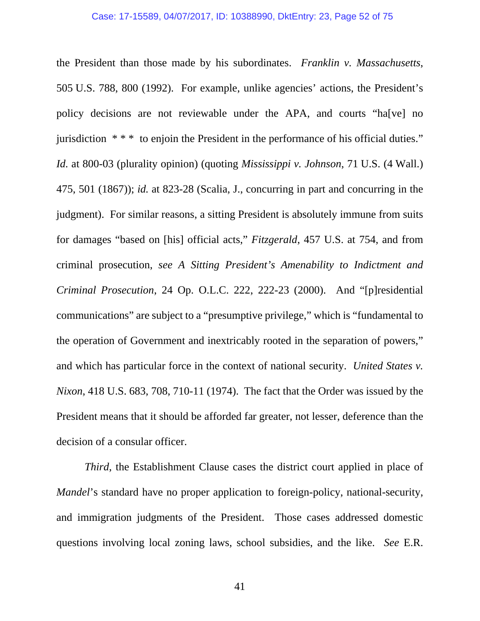### Case: 17-15589, 04/07/2017, ID: 10388990, DktEntry: 23, Page 52 of 75

the President than those made by his subordinates. *Franklin v. Massachusetts*, 505 U.S. 788, 800 (1992). For example, unlike agencies' actions, the President's policy decisions are not reviewable under the APA, and courts "ha[ve] no jurisdiction \* \* \* to enjoin the President in the performance of his official duties." *Id.* at 800-03 (plurality opinion) (quoting *Mississippi v. Johnson*, 71 U.S. (4 Wall.) 475, 501 (1867)); *id.* at 823-28 (Scalia, J., concurring in part and concurring in the judgment). For similar reasons, a sitting President is absolutely immune from suits for damages "based on [his] official acts," *Fitzgerald*, 457 U.S. at 754, and from criminal prosecution, *see A Sitting President's Amenability to Indictment and Criminal Prosecution*, 24 Op. O.L.C. 222, 222-23 (2000). And "[p]residential communications" are subject to a "presumptive privilege," which is "fundamental to the operation of Government and inextricably rooted in the separation of powers," and which has particular force in the context of national security. *United States v. Nixon*, 418 U.S. 683, 708, 710-11 (1974). The fact that the Order was issued by the President means that it should be afforded far greater, not lesser, deference than the decision of a consular officer.

*Third*, the Establishment Clause cases the district court applied in place of *Mandel*'s standard have no proper application to foreign-policy, national-security, and immigration judgments of the President. Those cases addressed domestic questions involving local zoning laws, school subsidies, and the like. *See* E.R.

41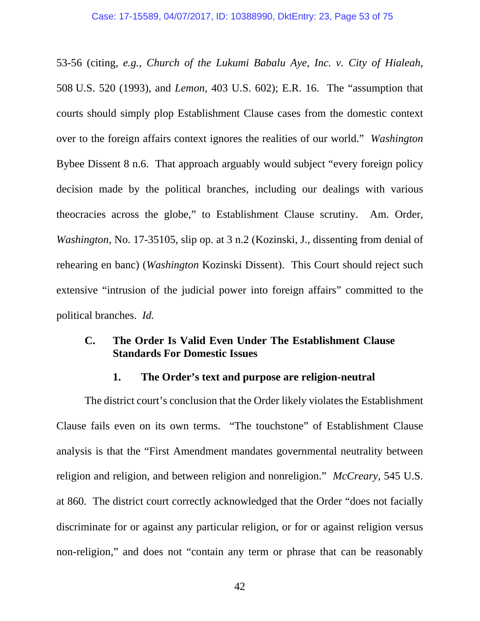53-56 (citing, *e.g.*, *Church of the Lukumi Babalu Aye, Inc. v. City of Hialeah*, 508 U.S. 520 (1993), and *Lemon*, 403 U.S. 602); E.R. 16. The "assumption that courts should simply plop Establishment Clause cases from the domestic context over to the foreign affairs context ignores the realities of our world." *Washington*  Bybee Dissent 8 n.6. That approach arguably would subject "every foreign policy decision made by the political branches, including our dealings with various theocracies across the globe," to Establishment Clause scrutiny. Am. Order, *Washington*, No. 17-35105, slip op. at 3 n.2 (Kozinski, J., dissenting from denial of rehearing en banc) (*Washington* Kozinski Dissent). This Court should reject such extensive "intrusion of the judicial power into foreign affairs" committed to the political branches. *Id.* 

# **C. The Order Is Valid Even Under The Establishment Clause Standards For Domestic Issues**

# **1. The Order's text and purpose are religion-neutral**

The district court's conclusion that the Order likely violates the Establishment Clause fails even on its own terms. "The touchstone" of Establishment Clause analysis is that the "First Amendment mandates governmental neutrality between religion and religion, and between religion and nonreligion." *McCreary*, 545 U.S. at 860. The district court correctly acknowledged that the Order "does not facially discriminate for or against any particular religion, or for or against religion versus non-religion," and does not "contain any term or phrase that can be reasonably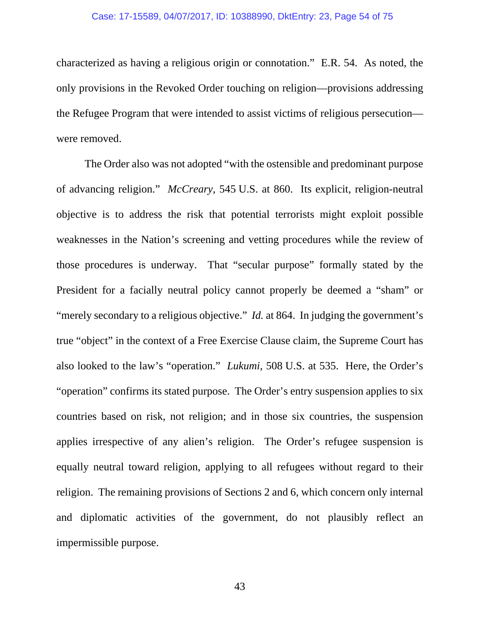# Case: 17-15589, 04/07/2017, ID: 10388990, DktEntry: 23, Page 54 of 75

characterized as having a religious origin or connotation." E.R. 54. As noted, the only provisions in the Revoked Order touching on religion—provisions addressing the Refugee Program that were intended to assist victims of religious persecution were removed.

The Order also was not adopted "with the ostensible and predominant purpose of advancing religion." *McCreary*, 545 U.S. at 860. Its explicit, religion-neutral objective is to address the risk that potential terrorists might exploit possible weaknesses in the Nation's screening and vetting procedures while the review of those procedures is underway. That "secular purpose" formally stated by the President for a facially neutral policy cannot properly be deemed a "sham" or "merely secondary to a religious objective." *Id.* at 864. In judging the government's true "object" in the context of a Free Exercise Clause claim, the Supreme Court has also looked to the law's "operation." *Lukumi*, 508 U.S. at 535. Here, the Order's "operation" confirms its stated purpose. The Order's entry suspension applies to six countries based on risk, not religion; and in those six countries, the suspension applies irrespective of any alien's religion. The Order's refugee suspension is equally neutral toward religion, applying to all refugees without regard to their religion. The remaining provisions of Sections 2 and 6, which concern only internal and diplomatic activities of the government, do not plausibly reflect an impermissible purpose.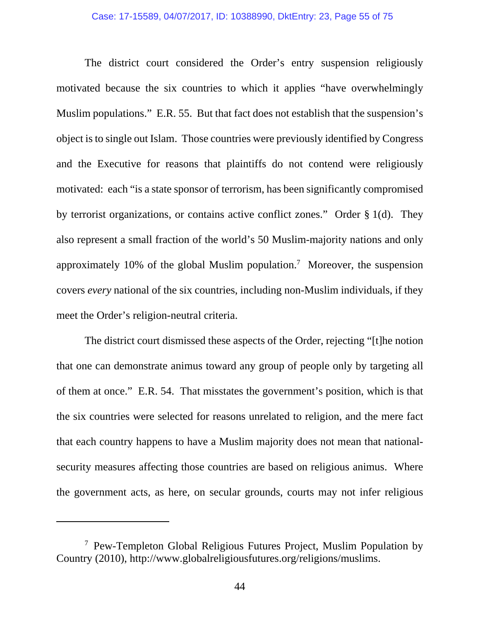The district court considered the Order's entry suspension religiously motivated because the six countries to which it applies "have overwhelmingly Muslim populations." E.R. 55. But that fact does not establish that the suspension's object is to single out Islam. Those countries were previously identified by Congress and the Executive for reasons that plaintiffs do not contend were religiously motivated: each "is a state sponsor of terrorism, has been significantly compromised by terrorist organizations, or contains active conflict zones." Order § 1(d). They also represent a small fraction of the world's 50 Muslim-majority nations and only approximately 10% of the global Muslim population.<sup>7</sup> Moreover, the suspension covers *every* national of the six countries, including non-Muslim individuals, if they meet the Order's religion-neutral criteria.

The district court dismissed these aspects of the Order, rejecting "[t]he notion that one can demonstrate animus toward any group of people only by targeting all of them at once." E.R. 54. That misstates the government's position, which is that the six countries were selected for reasons unrelated to religion, and the mere fact that each country happens to have a Muslim majority does not mean that nationalsecurity measures affecting those countries are based on religious animus. Where the government acts, as here, on secular grounds, courts may not infer religious

l

<sup>&</sup>lt;sup>7</sup> Pew-Templeton Global Religious Futures Project, Muslim Population by Country (2010), http://www.globalreligiousfutures.org/religions/muslims.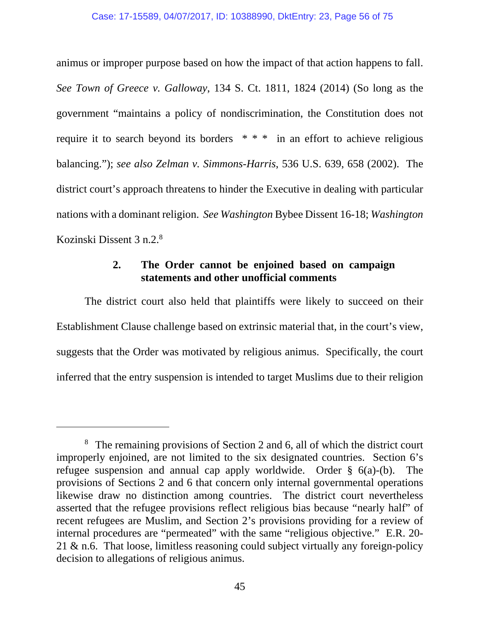animus or improper purpose based on how the impact of that action happens to fall. *See Town of Greece v. Galloway*, 134 S. Ct. 1811, 1824 (2014) (So long as the government "maintains a policy of nondiscrimination, the Constitution does not require it to search beyond its borders \* \* \* in an effort to achieve religious balancing."); *see also Zelman v. Simmons-Harris*, 536 U.S. 639, 658 (2002). The district court's approach threatens to hinder the Executive in dealing with particular nations with a dominant religion. *See Washington* Bybee Dissent 16-18; *Washington*  Kozinski Dissent 3 n.2.8

# **2. The Order cannot be enjoined based on campaign statements and other unofficial comments**

The district court also held that plaintiffs were likely to succeed on their Establishment Clause challenge based on extrinsic material that, in the court's view, suggests that the Order was motivated by religious animus. Specifically, the court inferred that the entry suspension is intended to target Muslims due to their religion

 $\overline{a}$ 

<sup>&</sup>lt;sup>8</sup> The remaining provisions of Section 2 and 6, all of which the district court improperly enjoined, are not limited to the six designated countries. Section 6's refugee suspension and annual cap apply worldwide. Order § 6(a)-(b). The provisions of Sections 2 and 6 that concern only internal governmental operations likewise draw no distinction among countries. The district court nevertheless asserted that the refugee provisions reflect religious bias because "nearly half" of recent refugees are Muslim, and Section 2's provisions providing for a review of internal procedures are "permeated" with the same "religious objective." E.R. 20- 21 & n.6. That loose, limitless reasoning could subject virtually any foreign-policy decision to allegations of religious animus.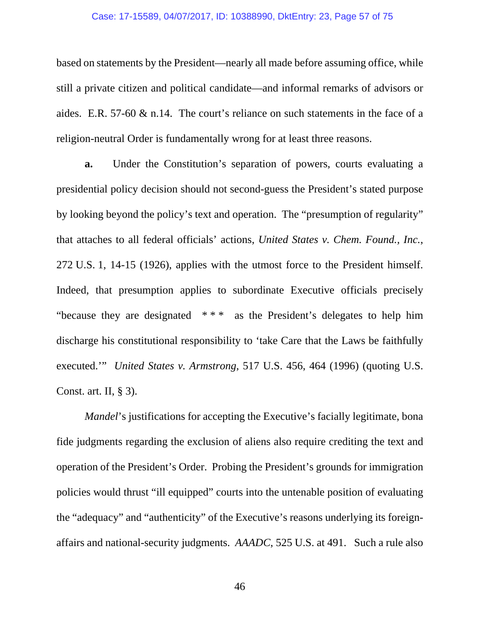# Case: 17-15589, 04/07/2017, ID: 10388990, DktEntry: 23, Page 57 of 75

based on statements by the President—nearly all made before assuming office, while still a private citizen and political candidate—and informal remarks of advisors or aides. E.R. 57-60 & n.14. The court's reliance on such statements in the face of a religion-neutral Order is fundamentally wrong for at least three reasons.

**a.** Under the Constitution's separation of powers, courts evaluating a presidential policy decision should not second-guess the President's stated purpose by looking beyond the policy's text and operation. The "presumption of regularity" that attaches to all federal officials' actions, *United States v. Chem. Found., Inc.*, 272 U.S. 1, 14-15 (1926), applies with the utmost force to the President himself. Indeed, that presumption applies to subordinate Executive officials precisely "because they are designated  $***$  as the President's delegates to help him discharge his constitutional responsibility to 'take Care that the Laws be faithfully executed.'" *United States v. Armstrong*, 517 U.S. 456, 464 (1996) (quoting U.S. Const. art. II, § 3).

*Mandel*'s justifications for accepting the Executive's facially legitimate, bona fide judgments regarding the exclusion of aliens also require crediting the text and operation of the President's Order. Probing the President's grounds for immigration policies would thrust "ill equipped" courts into the untenable position of evaluating the "adequacy" and "authenticity" of the Executive's reasons underlying its foreignaffairs and national-security judgments. *AAADC*, 525 U.S. at 491. Such a rule also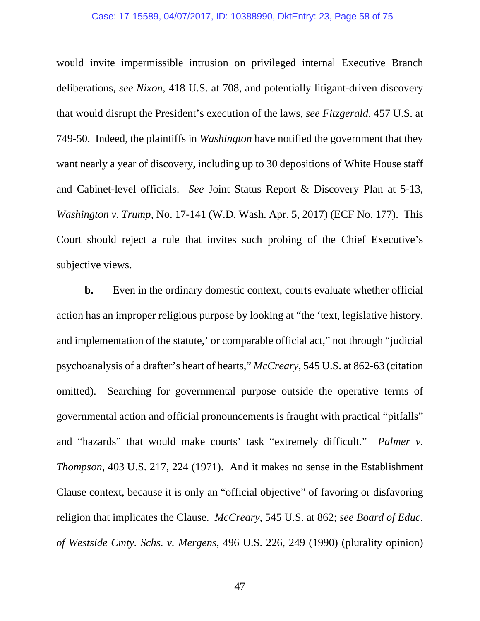# Case: 17-15589, 04/07/2017, ID: 10388990, DktEntry: 23, Page 58 of 75

would invite impermissible intrusion on privileged internal Executive Branch deliberations, *see Nixon*, 418 U.S. at 708, and potentially litigant-driven discovery that would disrupt the President's execution of the laws, *see Fitzgerald*, 457 U.S. at 749-50. Indeed, the plaintiffs in *Washington* have notified the government that they want nearly a year of discovery, including up to 30 depositions of White House staff and Cabinet-level officials. *See* Joint Status Report & Discovery Plan at 5-13, *Washington v. Trump*, No. 17-141 (W.D. Wash. Apr. 5, 2017) (ECF No. 177).This Court should reject a rule that invites such probing of the Chief Executive's subjective views.

**b.** Even in the ordinary domestic context, courts evaluate whether official action has an improper religious purpose by looking at "the 'text, legislative history, and implementation of the statute,' or comparable official act," not through "judicial psychoanalysis of a drafter's heart of hearts," *McCreary*, 545 U.S. at 862-63 (citation omitted). Searching for governmental purpose outside the operative terms of governmental action and official pronouncements is fraught with practical "pitfalls" and "hazards" that would make courts' task "extremely difficult." *Palmer v. Thompson*, 403 U.S. 217, 224 (1971). And it makes no sense in the Establishment Clause context, because it is only an "official objective" of favoring or disfavoring religion that implicates the Clause. *McCreary*, 545 U.S. at 862; *see Board of Educ. of Westside Cmty. Schs. v. Mergens*, 496 U.S. 226, 249 (1990) (plurality opinion)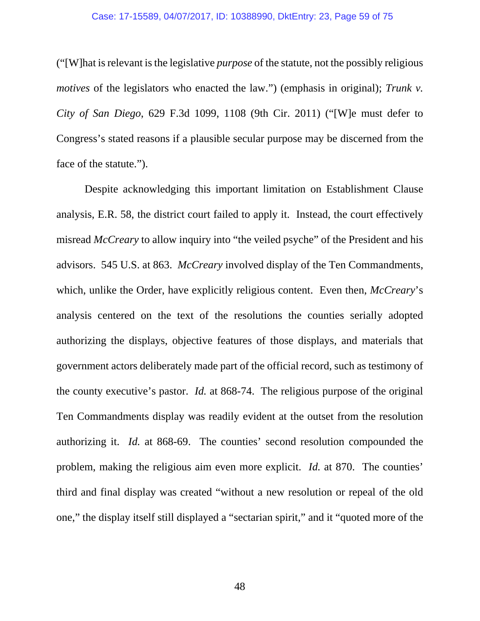## Case: 17-15589, 04/07/2017, ID: 10388990, DktEntry: 23, Page 59 of 75

("[W]hat is relevant is the legislative *purpose* of the statute, not the possibly religious *motives* of the legislators who enacted the law.") (emphasis in original); *Trunk v. City of San Diego*, 629 F.3d 1099, 1108 (9th Cir. 2011) ("[W]e must defer to Congress's stated reasons if a plausible secular purpose may be discerned from the face of the statute.").

Despite acknowledging this important limitation on Establishment Clause analysis, E.R. 58, the district court failed to apply it. Instead, the court effectively misread *McCreary* to allow inquiry into "the veiled psyche" of the President and his advisors. 545 U.S. at 863. *McCreary* involved display of the Ten Commandments, which, unlike the Order, have explicitly religious content. Even then, *McCreary*'s analysis centered on the text of the resolutions the counties serially adopted authorizing the displays, objective features of those displays, and materials that government actors deliberately made part of the official record, such as testimony of the county executive's pastor. *Id.* at 868-74. The religious purpose of the original Ten Commandments display was readily evident at the outset from the resolution authorizing it. *Id.* at 868-69. The counties' second resolution compounded the problem, making the religious aim even more explicit. *Id.* at 870. The counties' third and final display was created "without a new resolution or repeal of the old one," the display itself still displayed a "sectarian spirit," and it "quoted more of the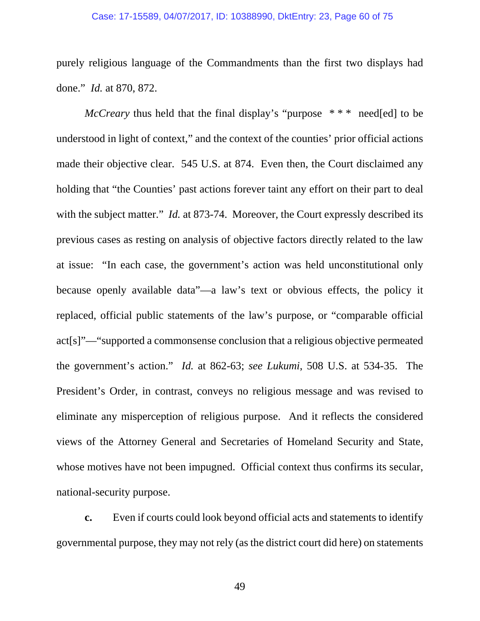## Case: 17-15589, 04/07/2017, ID: 10388990, DktEntry: 23, Page 60 of 75

purely religious language of the Commandments than the first two displays had done." *Id.* at 870, 872.

*McCreary* thus held that the final display's "purpose  $***$  need[ed] to be understood in light of context," and the context of the counties' prior official actions made their objective clear. 545 U.S. at 874. Even then, the Court disclaimed any holding that "the Counties' past actions forever taint any effort on their part to deal with the subject matter." *Id.* at 873-74. Moreover, the Court expressly described its previous cases as resting on analysis of objective factors directly related to the law at issue: "In each case, the government's action was held unconstitutional only because openly available data"—a law's text or obvious effects, the policy it replaced, official public statements of the law's purpose, or "comparable official act[s]"—"supported a commonsense conclusion that a religious objective permeated the government's action." *Id.* at 862-63; *see Lukumi*, 508 U.S. at 534-35. The President's Order, in contrast, conveys no religious message and was revised to eliminate any misperception of religious purpose. And it reflects the considered views of the Attorney General and Secretaries of Homeland Security and State, whose motives have not been impugned. Official context thus confirms its secular, national-security purpose.

**c.** Even if courts could look beyond official acts and statements to identify governmental purpose, they may not rely (as the district court did here) on statements

49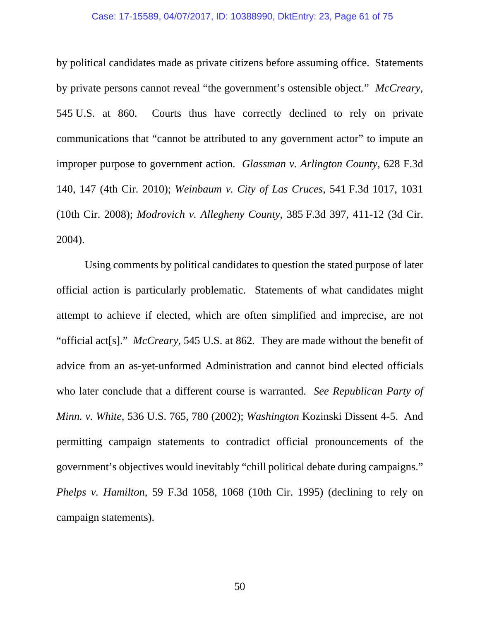### Case: 17-15589, 04/07/2017, ID: 10388990, DktEntry: 23, Page 61 of 75

by political candidates made as private citizens before assuming office. Statements by private persons cannot reveal "the government's ostensible object." *McCreary*, 545 U.S. at 860. Courts thus have correctly declined to rely on private communications that "cannot be attributed to any government actor" to impute an improper purpose to government action. *Glassman v. Arlington County*, 628 F.3d 140, 147 (4th Cir. 2010); *Weinbaum v. City of Las Cruces*, 541 F.3d 1017, 1031 (10th Cir. 2008); *Modrovich v. Allegheny County*, 385 F.3d 397, 411-12 (3d Cir. 2004).

Using comments by political candidates to question the stated purpose of later official action is particularly problematic. Statements of what candidates might attempt to achieve if elected, which are often simplified and imprecise, are not "official act[s]." *McCreary*, 545 U.S. at 862*.* They are made without the benefit of advice from an as-yet-unformed Administration and cannot bind elected officials who later conclude that a different course is warranted. *See Republican Party of Minn. v. White*, 536 U.S. 765, 780 (2002); *Washington* Kozinski Dissent 4-5. And permitting campaign statements to contradict official pronouncements of the government's objectives would inevitably "chill political debate during campaigns." *Phelps v. Hamilton*, 59 F.3d 1058, 1068 (10th Cir. 1995) (declining to rely on campaign statements).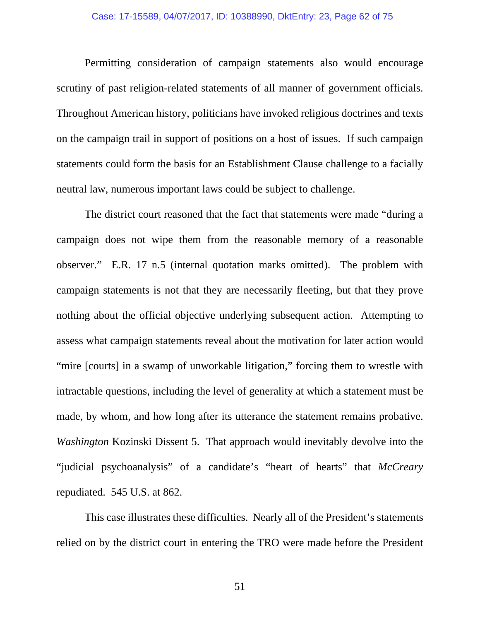## Case: 17-15589, 04/07/2017, ID: 10388990, DktEntry: 23, Page 62 of 75

Permitting consideration of campaign statements also would encourage scrutiny of past religion-related statements of all manner of government officials. Throughout American history, politicians have invoked religious doctrines and texts on the campaign trail in support of positions on a host of issues. If such campaign statements could form the basis for an Establishment Clause challenge to a facially neutral law, numerous important laws could be subject to challenge.

The district court reasoned that the fact that statements were made "during a campaign does not wipe them from the reasonable memory of a reasonable observer." E.R. 17 n.5 (internal quotation marks omitted). The problem with campaign statements is not that they are necessarily fleeting, but that they prove nothing about the official objective underlying subsequent action. Attempting to assess what campaign statements reveal about the motivation for later action would "mire [courts] in a swamp of unworkable litigation," forcing them to wrestle with intractable questions, including the level of generality at which a statement must be made, by whom, and how long after its utterance the statement remains probative. *Washington* Kozinski Dissent 5. That approach would inevitably devolve into the "judicial psychoanalysis" of a candidate's "heart of hearts" that *McCreary* repudiated. 545 U.S. at 862.

This case illustrates these difficulties. Nearly all of the President's statements relied on by the district court in entering the TRO were made before the President

51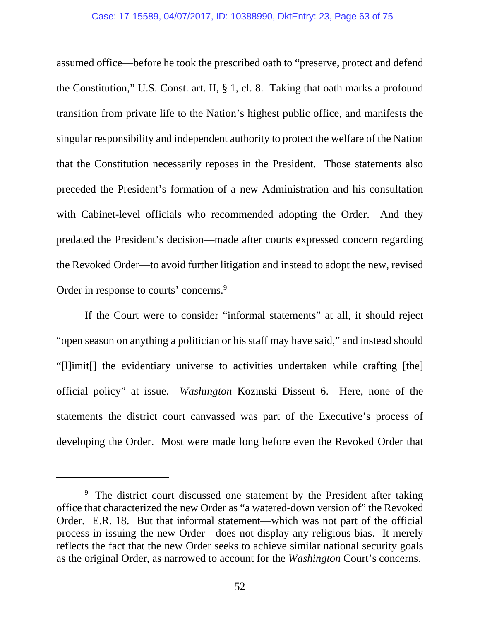assumed office—before he took the prescribed oath to "preserve, protect and defend the Constitution," U.S. Const. art. II, § 1, cl. 8. Taking that oath marks a profound transition from private life to the Nation's highest public office, and manifests the singular responsibility and independent authority to protect the welfare of the Nation that the Constitution necessarily reposes in the President. Those statements also preceded the President's formation of a new Administration and his consultation with Cabinet-level officials who recommended adopting the Order. And they predated the President's decision—made after courts expressed concern regarding the Revoked Order—to avoid further litigation and instead to adopt the new, revised Order in response to courts' concerns.<sup>9</sup>

If the Court were to consider "informal statements" at all, it should reject "open season on anything a politician or his staff may have said," and instead should "[l]imit[] the evidentiary universe to activities undertaken while crafting [the] official policy" at issue. *Washington* Kozinski Dissent 6. Here, none of the statements the district court canvassed was part of the Executive's process of developing the Order. Most were made long before even the Revoked Order that

 $\overline{a}$ 

<sup>&</sup>lt;sup>9</sup> The district court discussed one statement by the President after taking office that characterized the new Order as "a watered-down version of" the Revoked Order. E.R. 18. But that informal statement—which was not part of the official process in issuing the new Order—does not display any religious bias. It merely reflects the fact that the new Order seeks to achieve similar national security goals as the original Order, as narrowed to account for the *Washington* Court's concerns.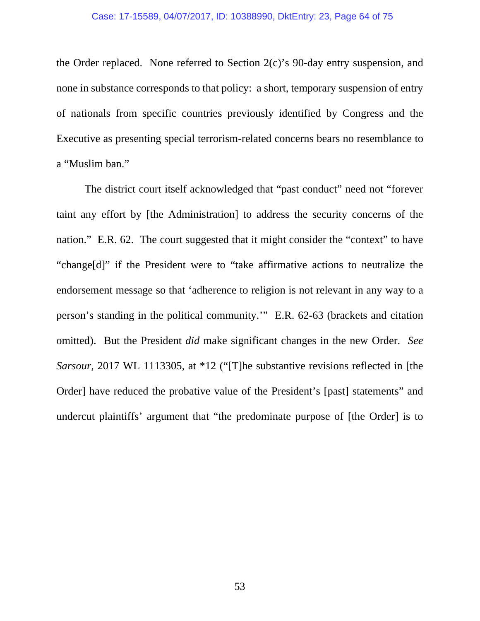the Order replaced. None referred to Section 2(c)'s 90-day entry suspension, and none in substance corresponds to that policy: a short, temporary suspension of entry of nationals from specific countries previously identified by Congress and the Executive as presenting special terrorism-related concerns bears no resemblance to a "Muslim ban."

The district court itself acknowledged that "past conduct" need not "forever taint any effort by [the Administration] to address the security concerns of the nation." E.R. 62. The court suggested that it might consider the "context" to have "change[d]" if the President were to "take affirmative actions to neutralize the endorsement message so that 'adherence to religion is not relevant in any way to a person's standing in the political community.'" E.R. 62-63 (brackets and citation omitted). But the President *did* make significant changes in the new Order. *See Sarsour*, 2017 WL 1113305, at \*12 ("[T]he substantive revisions reflected in [the Order] have reduced the probative value of the President's [past] statements" and undercut plaintiffs' argument that "the predominate purpose of [the Order] is to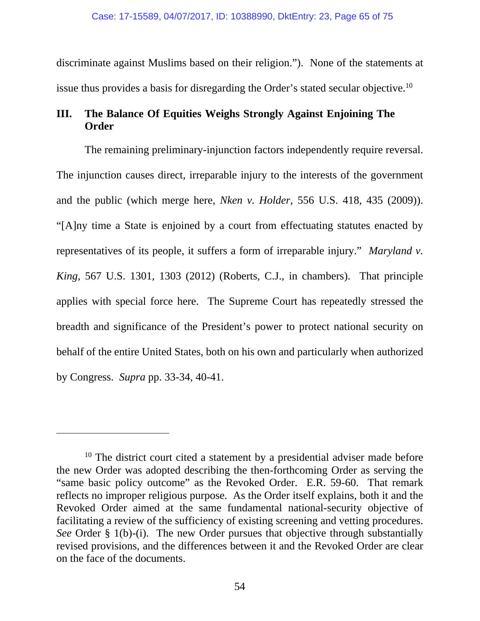discriminate against Muslims based on their religion."). None of the statements at issue thus provides a basis for disregarding the Order's stated secular objective.<sup>10</sup>

# **III. The Balance Of Equities Weighs Strongly Against Enjoining The Order**

The remaining preliminary-injunction factors independently require reversal. The injunction causes direct, irreparable injury to the interests of the government and the public (which merge here, *Nken v. Holder*, 556 U.S. 418, 435 (2009)). "[A]ny time a State is enjoined by a court from effectuating statutes enacted by representatives of its people, it suffers a form of irreparable injury." *Maryland v. King*, 567 U.S. 1301, 1303 (2012) (Roberts, C.J., in chambers). That principle applies with special force here. The Supreme Court has repeatedly stressed the breadth and significance of the President's power to protect national security on behalf of the entire United States, both on his own and particularly when authorized by Congress. *Supra* pp. 33-34, 40-41.

 $\overline{a}$ 

 $10$  The district court cited a statement by a presidential adviser made before the new Order was adopted describing the then-forthcoming Order as serving the "same basic policy outcome" as the Revoked Order. E.R. 59-60. That remark reflects no improper religious purpose. As the Order itself explains, both it and the Revoked Order aimed at the same fundamental national-security objective of facilitating a review of the sufficiency of existing screening and vetting procedures. *See* Order § 1(b)-(i). The new Order pursues that objective through substantially revised provisions, and the differences between it and the Revoked Order are clear on the face of the documents.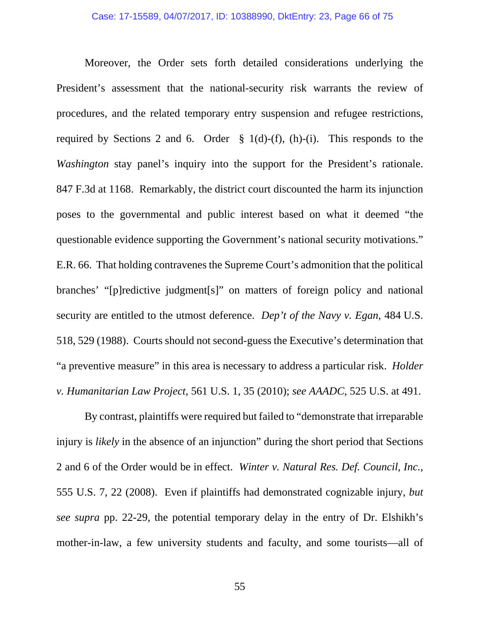Moreover, the Order sets forth detailed considerations underlying the President's assessment that the national-security risk warrants the review of procedures, and the related temporary entry suspension and refugee restrictions, required by Sections 2 and 6. Order  $\S$  1(d)-(f), (h)-(i). This responds to the *Washington* stay panel's inquiry into the support for the President's rationale. 847 F.3d at 1168. Remarkably, the district court discounted the harm its injunction poses to the governmental and public interest based on what it deemed "the questionable evidence supporting the Government's national security motivations." E.R. 66. That holding contravenes the Supreme Court's admonition that the political branches' "[p]redictive judgment[s]" on matters of foreign policy and national security are entitled to the utmost deference. *Dep't of the Navy v. Egan*, 484 U.S. 518, 529 (1988). Courts should not second-guess the Executive's determination that "a preventive measure" in this area is necessary to address a particular risk. *Holder v. Humanitarian Law Project*, 561 U.S. 1, 35 (2010); *see AAADC*, 525 U.S. at 491.

By contrast, plaintiffs were required but failed to "demonstrate that irreparable injury is *likely* in the absence of an injunction" during the short period that Sections 2 and 6 of the Order would be in effect. *Winter v. Natural Res. Def. Council, Inc.*, 555 U.S. 7, 22 (2008). Even if plaintiffs had demonstrated cognizable injury, *but see supra* pp. 22-29, the potential temporary delay in the entry of Dr. Elshikh's mother-in-law, a few university students and faculty, and some tourists—all of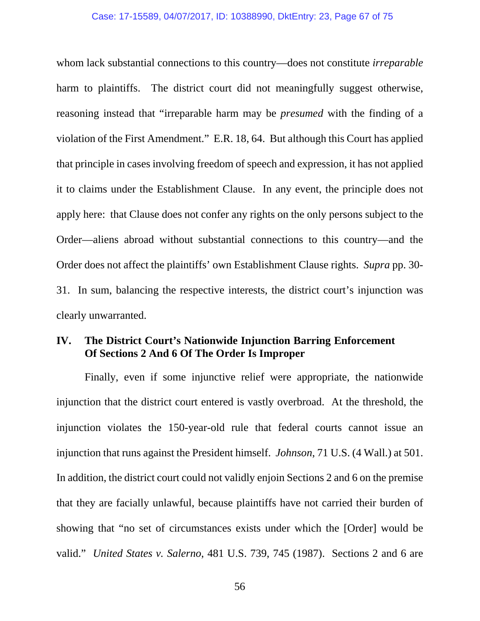### Case: 17-15589, 04/07/2017, ID: 10388990, DktEntry: 23, Page 67 of 75

whom lack substantial connections to this country—does not constitute *irreparable*  harm to plaintiffs. The district court did not meaningfully suggest otherwise, reasoning instead that "irreparable harm may be *presumed* with the finding of a violation of the First Amendment." E.R. 18, 64. But although this Court has applied that principle in cases involving freedom of speech and expression, it has not applied it to claims under the Establishment Clause. In any event, the principle does not apply here: that Clause does not confer any rights on the only persons subject to the Order—aliens abroad without substantial connections to this country—and the Order does not affect the plaintiffs' own Establishment Clause rights. *Supra* pp. 30- 31. In sum, balancing the respective interests, the district court's injunction was clearly unwarranted.

# **IV. The District Court's Nationwide Injunction Barring Enforcement Of Sections 2 And 6 Of The Order Is Improper**

Finally, even if some injunctive relief were appropriate, the nationwide injunction that the district court entered is vastly overbroad. At the threshold, the injunction violates the 150-year-old rule that federal courts cannot issue an injunction that runs against the President himself. *Johnson*, 71 U.S. (4 Wall.) at 501. In addition, the district court could not validly enjoin Sections 2 and 6 on the premise that they are facially unlawful, because plaintiffs have not carried their burden of showing that "no set of circumstances exists under which the [Order] would be valid." *United States v. Salerno*, 481 U.S. 739, 745 (1987). Sections 2 and 6 are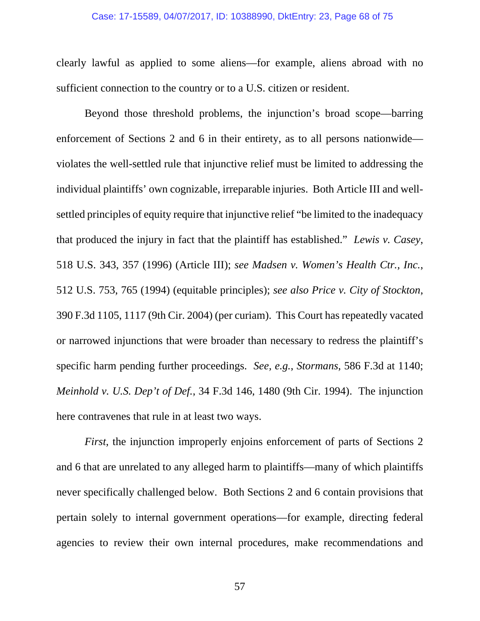### Case: 17-15589, 04/07/2017, ID: 10388990, DktEntry: 23, Page 68 of 75

clearly lawful as applied to some aliens—for example, aliens abroad with no sufficient connection to the country or to a U.S. citizen or resident.

Beyond those threshold problems, the injunction's broad scope—barring enforcement of Sections 2 and 6 in their entirety, as to all persons nationwide violates the well-settled rule that injunctive relief must be limited to addressing the individual plaintiffs' own cognizable, irreparable injuries. Both Article III and wellsettled principles of equity require that injunctive relief "be limited to the inadequacy that produced the injury in fact that the plaintiff has established." *Lewis v. Casey*, 518 U.S. 343, 357 (1996) (Article III); *see Madsen v. Women's Health Ctr., Inc.*, 512 U.S. 753, 765 (1994) (equitable principles); *see also Price v. City of Stockton*, 390 F.3d 1105, 1117 (9th Cir. 2004) (per curiam). This Court has repeatedly vacated or narrowed injunctions that were broader than necessary to redress the plaintiff's specific harm pending further proceedings. *See, e.g.*, *Stormans*, 586 F.3d at 1140; *Meinhold v. U.S. Dep't of Def.*, 34 F.3d 146, 1480 (9th Cir. 1994). The injunction here contravenes that rule in at least two ways.

*First*, the injunction improperly enjoins enforcement of parts of Sections 2 and 6 that are unrelated to any alleged harm to plaintiffs—many of which plaintiffs never specifically challenged below. Both Sections 2 and 6 contain provisions that pertain solely to internal government operations—for example, directing federal agencies to review their own internal procedures, make recommendations and

57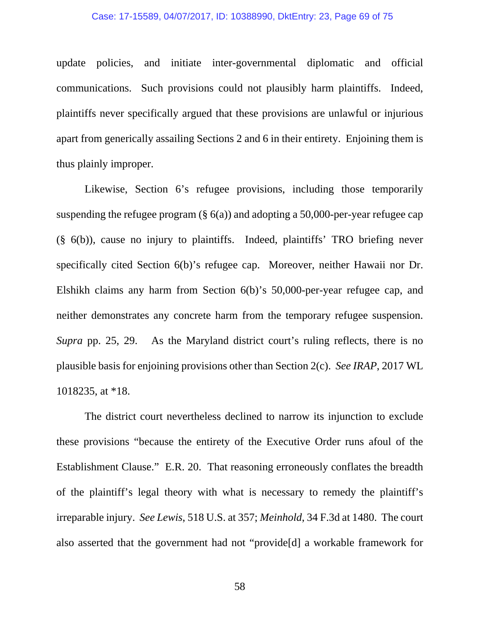### Case: 17-15589, 04/07/2017, ID: 10388990, DktEntry: 23, Page 69 of 75

update policies, and initiate inter-governmental diplomatic and official communications. Such provisions could not plausibly harm plaintiffs. Indeed, plaintiffs never specifically argued that these provisions are unlawful or injurious apart from generically assailing Sections 2 and 6 in their entirety. Enjoining them is thus plainly improper.

Likewise, Section 6's refugee provisions, including those temporarily suspending the refugee program  $(\S 6(a))$  and adopting a 50,000-per-year refugee cap (§ 6(b)), cause no injury to plaintiffs. Indeed, plaintiffs' TRO briefing never specifically cited Section 6(b)'s refugee cap. Moreover, neither Hawaii nor Dr. Elshikh claims any harm from Section 6(b)'s 50,000-per-year refugee cap, and neither demonstrates any concrete harm from the temporary refugee suspension. *Supra* pp. 25, 29. As the Maryland district court's ruling reflects, there is no plausible basis for enjoining provisions other than Section 2(c). *See IRAP*, 2017 WL 1018235, at \*18.

The district court nevertheless declined to narrow its injunction to exclude these provisions "because the entirety of the Executive Order runs afoul of the Establishment Clause." E.R. 20. That reasoning erroneously conflates the breadth of the plaintiff's legal theory with what is necessary to remedy the plaintiff's irreparable injury. *See Lewis*, 518 U.S. at 357; *Meinhold*, 34 F.3d at 1480. The court also asserted that the government had not "provide[d] a workable framework for

58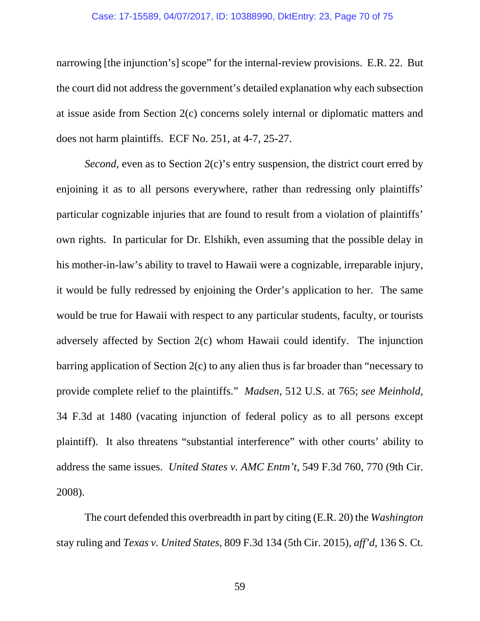### Case: 17-15589, 04/07/2017, ID: 10388990, DktEntry: 23, Page 70 of 75

narrowing [the injunction's] scope" for the internal-review provisions. E.R. 22. But the court did not address the government's detailed explanation why each subsection at issue aside from Section 2(c) concerns solely internal or diplomatic matters and does not harm plaintiffs. ECF No. 251, at 4-7, 25-27.

*Second*, even as to Section 2(c)'s entry suspension, the district court erred by enjoining it as to all persons everywhere, rather than redressing only plaintiffs' particular cognizable injuries that are found to result from a violation of plaintiffs' own rights. In particular for Dr. Elshikh, even assuming that the possible delay in his mother-in-law's ability to travel to Hawaii were a cognizable, irreparable injury, it would be fully redressed by enjoining the Order's application to her. The same would be true for Hawaii with respect to any particular students, faculty, or tourists adversely affected by Section 2(c) whom Hawaii could identify. The injunction barring application of Section 2(c) to any alien thus is far broader than "necessary to provide complete relief to the plaintiffs." *Madsen*, 512 U.S. at 765; *see Meinhold*, 34 F.3d at 1480 (vacating injunction of federal policy as to all persons except plaintiff). It also threatens "substantial interference" with other courts' ability to address the same issues. *United States v. AMC Entm't*, 549 F.3d 760, 770 (9th Cir. 2008).

The court defended this overbreadth in part by citing (E.R. 20) the *Washington*  stay ruling and *Texas v. United States*, 809 F.3d 134 (5th Cir. 2015), *aff'd*, 136 S. Ct.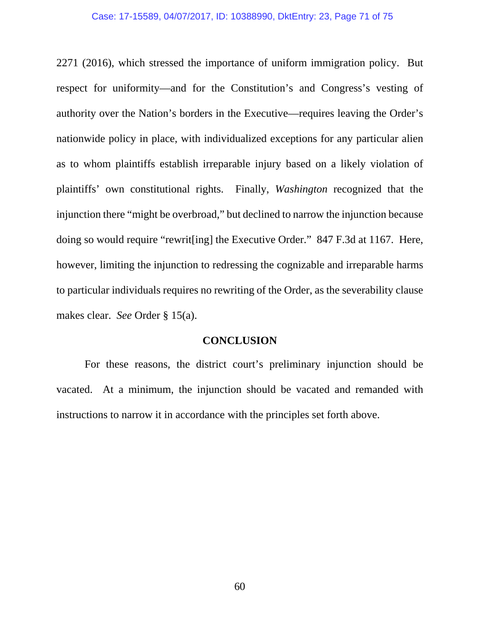2271 (2016), which stressed the importance of uniform immigration policy. But respect for uniformity—and for the Constitution's and Congress's vesting of authority over the Nation's borders in the Executive—requires leaving the Order's nationwide policy in place, with individualized exceptions for any particular alien as to whom plaintiffs establish irreparable injury based on a likely violation of plaintiffs' own constitutional rights. Finally, *Washington* recognized that the injunction there "might be overbroad," but declined to narrow the injunction because doing so would require "rewrit[ing] the Executive Order." 847 F.3d at 1167. Here, however, limiting the injunction to redressing the cognizable and irreparable harms to particular individuals requires no rewriting of the Order, as the severability clause makes clear. *See* Order § 15(a).

# **CONCLUSION**

For these reasons, the district court's preliminary injunction should be vacated. At a minimum, the injunction should be vacated and remanded with instructions to narrow it in accordance with the principles set forth above.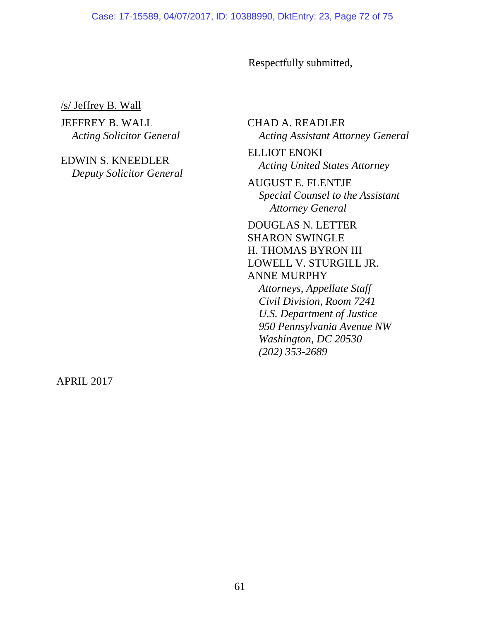Respectfully submitted,

/s/ Jeffrey B. Wall

JEFFREY B. WALL *Acting Solicitor General* 

EDWIN S. KNEEDLER *Deputy Solicitor General*  CHAD A. READLER *Acting Assistant Attorney General* 

ELLIOT ENOKI *Acting United States Attorney* 

AUGUST E. FLENTJE *Special Counsel to the Assistant Attorney General* 

DOUGLAS N. LETTER SHARON SWINGLE H. THOMAS BYRON III LOWELL V. STURGILL JR. ANNE MURPHY *Attorneys, Appellate Staff* 

*Civil Division, Room 7241 U.S. Department of Justice 950 Pennsylvania Avenue NW Washington, DC 20530 (202) 353-2689* 

APRIL 2017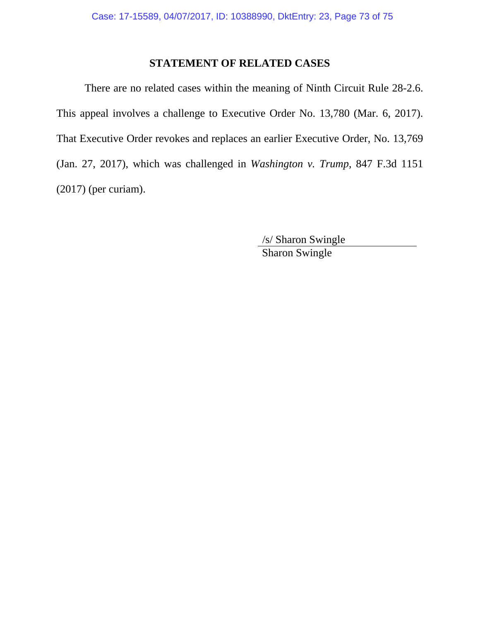## **STATEMENT OF RELATED CASES**

There are no related cases within the meaning of Ninth Circuit Rule 28-2.6. This appeal involves a challenge to Executive Order No. 13,780 (Mar. 6, 2017). That Executive Order revokes and replaces an earlier Executive Order, No. 13,769 (Jan. 27, 2017), which was challenged in *Washington v. Trump*, 847 F.3d 1151 (2017) (per curiam).

> /s/ Sharon Swingle Sharon Swingle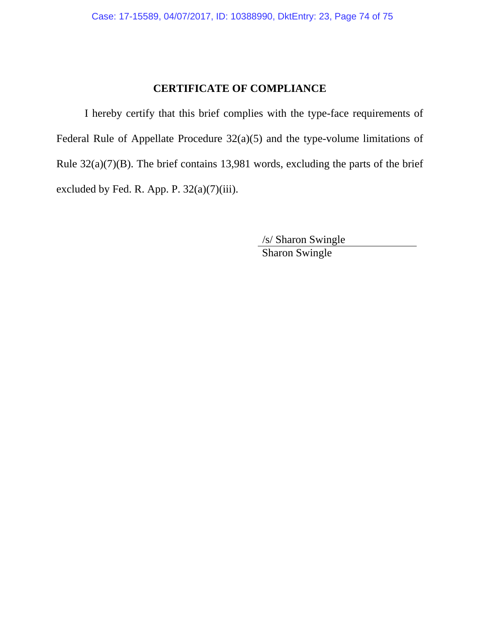## **CERTIFICATE OF COMPLIANCE**

I hereby certify that this brief complies with the type-face requirements of Federal Rule of Appellate Procedure 32(a)(5) and the type-volume limitations of Rule  $32(a)(7)(B)$ . The brief contains 13,981 words, excluding the parts of the brief excluded by Fed. R. App. P.  $32(a)(7)(iii)$ .

> /s/ Sharon Swingle Sharon Swingle